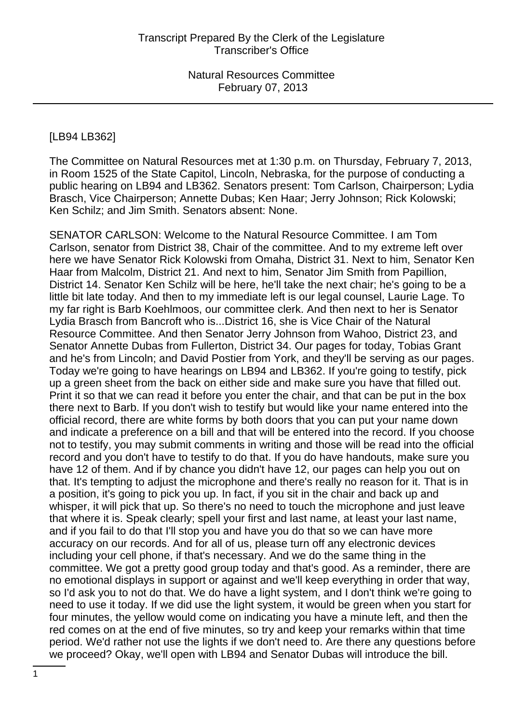#### [LB94 LB362]

The Committee on Natural Resources met at 1:30 p.m. on Thursday, February 7, 2013, in Room 1525 of the State Capitol, Lincoln, Nebraska, for the purpose of conducting a public hearing on LB94 and LB362. Senators present: Tom Carlson, Chairperson; Lydia Brasch, Vice Chairperson; Annette Dubas; Ken Haar; Jerry Johnson; Rick Kolowski; Ken Schilz; and Jim Smith. Senators absent: None.

SENATOR CARLSON: Welcome to the Natural Resource Committee. I am Tom Carlson, senator from District 38, Chair of the committee. And to my extreme left over here we have Senator Rick Kolowski from Omaha, District 31. Next to him, Senator Ken Haar from Malcolm, District 21. And next to him, Senator Jim Smith from Papillion, District 14. Senator Ken Schilz will be here, he'll take the next chair; he's going to be a little bit late today. And then to my immediate left is our legal counsel, Laurie Lage. To my far right is Barb Koehlmoos, our committee clerk. And then next to her is Senator Lydia Brasch from Bancroft who is...District 16, she is Vice Chair of the Natural Resource Committee. And then Senator Jerry Johnson from Wahoo, District 23, and Senator Annette Dubas from Fullerton, District 34. Our pages for today, Tobias Grant and he's from Lincoln; and David Postier from York, and they'll be serving as our pages. Today we're going to have hearings on LB94 and LB362. If you're going to testify, pick up a green sheet from the back on either side and make sure you have that filled out. Print it so that we can read it before you enter the chair, and that can be put in the box there next to Barb. If you don't wish to testify but would like your name entered into the official record, there are white forms by both doors that you can put your name down and indicate a preference on a bill and that will be entered into the record. If you choose not to testify, you may submit comments in writing and those will be read into the official record and you don't have to testify to do that. If you do have handouts, make sure you have 12 of them. And if by chance you didn't have 12, our pages can help you out on that. It's tempting to adjust the microphone and there's really no reason for it. That is in a position, it's going to pick you up. In fact, if you sit in the chair and back up and whisper, it will pick that up. So there's no need to touch the microphone and just leave that where it is. Speak clearly; spell your first and last name, at least your last name, and if you fail to do that I'll stop you and have you do that so we can have more accuracy on our records. And for all of us, please turn off any electronic devices including your cell phone, if that's necessary. And we do the same thing in the committee. We got a pretty good group today and that's good. As a reminder, there are no emotional displays in support or against and we'll keep everything in order that way, so I'd ask you to not do that. We do have a light system, and I don't think we're going to need to use it today. If we did use the light system, it would be green when you start for four minutes, the yellow would come on indicating you have a minute left, and then the red comes on at the end of five minutes, so try and keep your remarks within that time period. We'd rather not use the lights if we don't need to. Are there any questions before we proceed? Okay, we'll open with LB94 and Senator Dubas will introduce the bill.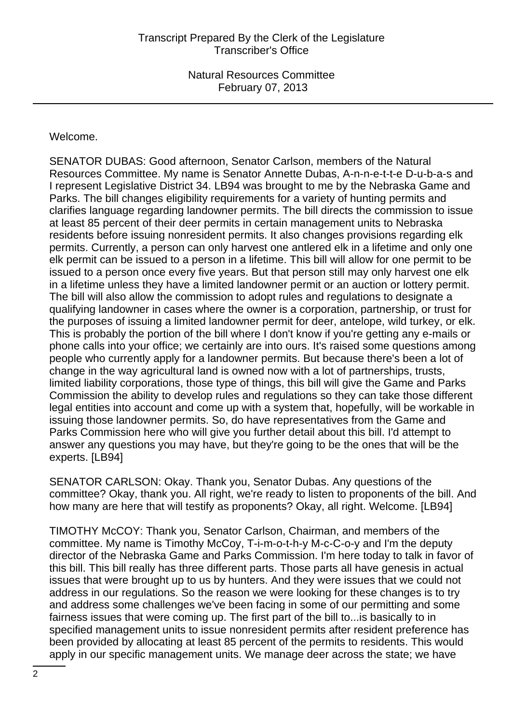#### Welcome.

SENATOR DUBAS: Good afternoon, Senator Carlson, members of the Natural Resources Committee. My name is Senator Annette Dubas, A-n-n-e-t-t-e D-u-b-a-s and I represent Legislative District 34. LB94 was brought to me by the Nebraska Game and Parks. The bill changes eligibility requirements for a variety of hunting permits and clarifies language regarding landowner permits. The bill directs the commission to issue at least 85 percent of their deer permits in certain management units to Nebraska residents before issuing nonresident permits. It also changes provisions regarding elk permits. Currently, a person can only harvest one antlered elk in a lifetime and only one elk permit can be issued to a person in a lifetime. This bill will allow for one permit to be issued to a person once every five years. But that person still may only harvest one elk in a lifetime unless they have a limited landowner permit or an auction or lottery permit. The bill will also allow the commission to adopt rules and regulations to designate a qualifying landowner in cases where the owner is a corporation, partnership, or trust for the purposes of issuing a limited landowner permit for deer, antelope, wild turkey, or elk. This is probably the portion of the bill where I don't know if you're getting any e-mails or phone calls into your office; we certainly are into ours. It's raised some questions among people who currently apply for a landowner permits. But because there's been a lot of change in the way agricultural land is owned now with a lot of partnerships, trusts, limited liability corporations, those type of things, this bill will give the Game and Parks Commission the ability to develop rules and regulations so they can take those different legal entities into account and come up with a system that, hopefully, will be workable in issuing those landowner permits. So, do have representatives from the Game and Parks Commission here who will give you further detail about this bill. I'd attempt to answer any questions you may have, but they're going to be the ones that will be the experts. [LB94]

SENATOR CARLSON: Okay. Thank you, Senator Dubas. Any questions of the committee? Okay, thank you. All right, we're ready to listen to proponents of the bill. And how many are here that will testify as proponents? Okay, all right. Welcome. [LB94]

TIMOTHY McCOY: Thank you, Senator Carlson, Chairman, and members of the committee. My name is Timothy McCoy, T-i-m-o-t-h-y M-c-C-o-y and I'm the deputy director of the Nebraska Game and Parks Commission. I'm here today to talk in favor of this bill. This bill really has three different parts. Those parts all have genesis in actual issues that were brought up to us by hunters. And they were issues that we could not address in our regulations. So the reason we were looking for these changes is to try and address some challenges we've been facing in some of our permitting and some fairness issues that were coming up. The first part of the bill to...is basically to in specified management units to issue nonresident permits after resident preference has been provided by allocating at least 85 percent of the permits to residents. This would apply in our specific management units. We manage deer across the state; we have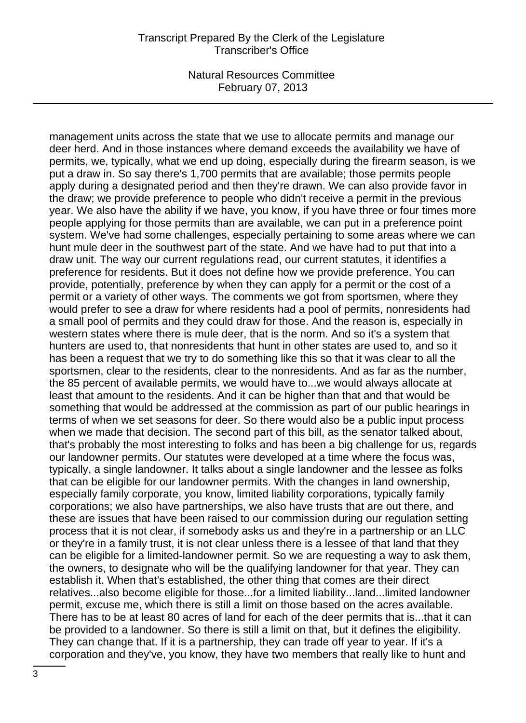management units across the state that we use to allocate permits and manage our deer herd. And in those instances where demand exceeds the availability we have of permits, we, typically, what we end up doing, especially during the firearm season, is we put a draw in. So say there's 1,700 permits that are available; those permits people apply during a designated period and then they're drawn. We can also provide favor in the draw; we provide preference to people who didn't receive a permit in the previous year. We also have the ability if we have, you know, if you have three or four times more people applying for those permits than are available, we can put in a preference point system. We've had some challenges, especially pertaining to some areas where we can hunt mule deer in the southwest part of the state. And we have had to put that into a draw unit. The way our current regulations read, our current statutes, it identifies a preference for residents. But it does not define how we provide preference. You can provide, potentially, preference by when they can apply for a permit or the cost of a permit or a variety of other ways. The comments we got from sportsmen, where they would prefer to see a draw for where residents had a pool of permits, nonresidents had a small pool of permits and they could draw for those. And the reason is, especially in western states where there is mule deer, that is the norm. And so it's a system that hunters are used to, that nonresidents that hunt in other states are used to, and so it has been a request that we try to do something like this so that it was clear to all the sportsmen, clear to the residents, clear to the nonresidents. And as far as the number, the 85 percent of available permits, we would have to...we would always allocate at least that amount to the residents. And it can be higher than that and that would be something that would be addressed at the commission as part of our public hearings in terms of when we set seasons for deer. So there would also be a public input process when we made that decision. The second part of this bill, as the senator talked about, that's probably the most interesting to folks and has been a big challenge for us, regards our landowner permits. Our statutes were developed at a time where the focus was, typically, a single landowner. It talks about a single landowner and the lessee as folks that can be eligible for our landowner permits. With the changes in land ownership, especially family corporate, you know, limited liability corporations, typically family corporations; we also have partnerships, we also have trusts that are out there, and these are issues that have been raised to our commission during our regulation setting process that it is not clear, if somebody asks us and they're in a partnership or an LLC or they're in a family trust, it is not clear unless there is a lessee of that land that they can be eligible for a limited-landowner permit. So we are requesting a way to ask them, the owners, to designate who will be the qualifying landowner for that year. They can establish it. When that's established, the other thing that comes are their direct relatives...also become eligible for those...for a limited liability...land...limited landowner permit, excuse me, which there is still a limit on those based on the acres available. There has to be at least 80 acres of land for each of the deer permits that is...that it can be provided to a landowner. So there is still a limit on that, but it defines the eligibility. They can change that. If it is a partnership, they can trade off year to year. If it's a corporation and they've, you know, they have two members that really like to hunt and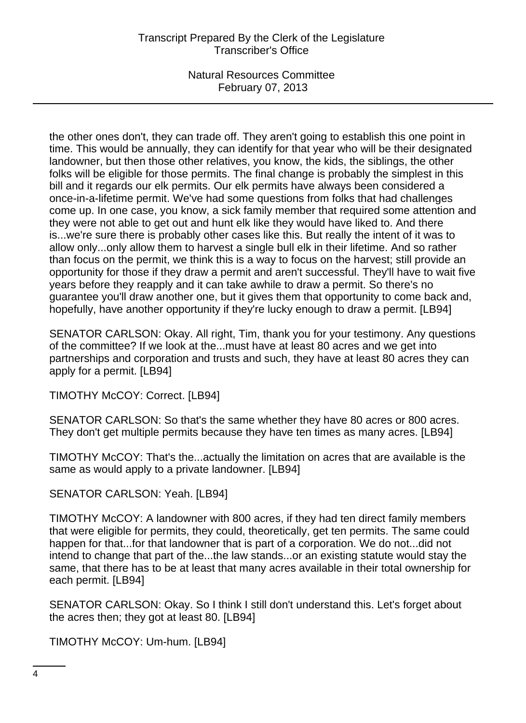the other ones don't, they can trade off. They aren't going to establish this one point in time. This would be annually, they can identify for that year who will be their designated landowner, but then those other relatives, you know, the kids, the siblings, the other folks will be eligible for those permits. The final change is probably the simplest in this bill and it regards our elk permits. Our elk permits have always been considered a once-in-a-lifetime permit. We've had some questions from folks that had challenges come up. In one case, you know, a sick family member that required some attention and they were not able to get out and hunt elk like they would have liked to. And there is...we're sure there is probably other cases like this. But really the intent of it was to allow only...only allow them to harvest a single bull elk in their lifetime. And so rather than focus on the permit, we think this is a way to focus on the harvest; still provide an opportunity for those if they draw a permit and aren't successful. They'll have to wait five years before they reapply and it can take awhile to draw a permit. So there's no guarantee you'll draw another one, but it gives them that opportunity to come back and, hopefully, have another opportunity if they're lucky enough to draw a permit. [LB94]

SENATOR CARLSON: Okay. All right, Tim, thank you for your testimony. Any questions of the committee? If we look at the...must have at least 80 acres and we get into partnerships and corporation and trusts and such, they have at least 80 acres they can apply for a permit. [LB94]

TIMOTHY McCOY: Correct. [LB94]

SENATOR CARLSON: So that's the same whether they have 80 acres or 800 acres. They don't get multiple permits because they have ten times as many acres. [LB94]

TIMOTHY McCOY: That's the...actually the limitation on acres that are available is the same as would apply to a private landowner. [LB94]

SENATOR CARLSON: Yeah. [LB94]

TIMOTHY McCOY: A landowner with 800 acres, if they had ten direct family members that were eligible for permits, they could, theoretically, get ten permits. The same could happen for that...for that landowner that is part of a corporation. We do not...did not intend to change that part of the...the law stands...or an existing statute would stay the same, that there has to be at least that many acres available in their total ownership for each permit. [LB94]

SENATOR CARLSON: Okay. So I think I still don't understand this. Let's forget about the acres then; they got at least 80. [LB94]

TIMOTHY McCOY: Um-hum. [LB94]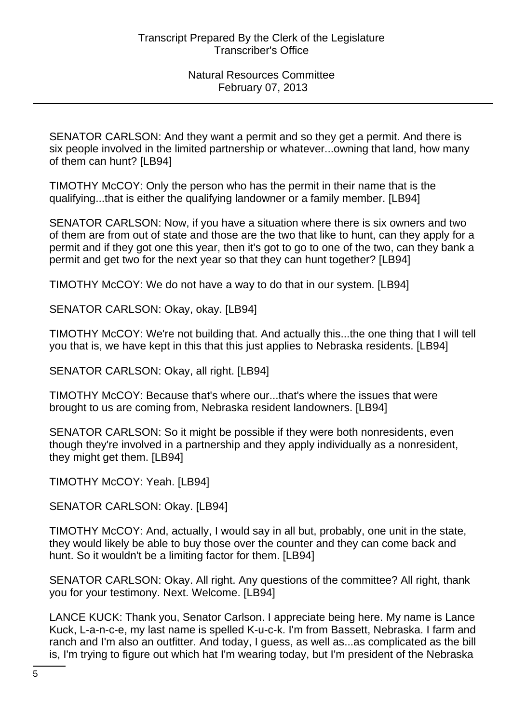SENATOR CARLSON: And they want a permit and so they get a permit. And there is six people involved in the limited partnership or whatever...owning that land, how many of them can hunt? [LB94]

TIMOTHY McCOY: Only the person who has the permit in their name that is the qualifying...that is either the qualifying landowner or a family member. [LB94]

SENATOR CARLSON: Now, if you have a situation where there is six owners and two of them are from out of state and those are the two that like to hunt, can they apply for a permit and if they got one this year, then it's got to go to one of the two, can they bank a permit and get two for the next year so that they can hunt together? [LB94]

TIMOTHY McCOY: We do not have a way to do that in our system. [LB94]

SENATOR CARLSON: Okay, okay. [LB94]

TIMOTHY McCOY: We're not building that. And actually this...the one thing that I will tell you that is, we have kept in this that this just applies to Nebraska residents. [LB94]

SENATOR CARLSON: Okay, all right. [LB94]

TIMOTHY McCOY: Because that's where our...that's where the issues that were brought to us are coming from, Nebraska resident landowners. [LB94]

SENATOR CARLSON: So it might be possible if they were both nonresidents, even though they're involved in a partnership and they apply individually as a nonresident, they might get them. [LB94]

TIMOTHY McCOY: Yeah. [LB94]

SENATOR CARLSON: Okay. [LB94]

TIMOTHY McCOY: And, actually, I would say in all but, probably, one unit in the state, they would likely be able to buy those over the counter and they can come back and hunt. So it wouldn't be a limiting factor for them. [LB94]

SENATOR CARLSON: Okay. All right. Any questions of the committee? All right, thank you for your testimony. Next. Welcome. [LB94]

LANCE KUCK: Thank you, Senator Carlson. I appreciate being here. My name is Lance Kuck, L-a-n-c-e, my last name is spelled K-u-c-k. I'm from Bassett, Nebraska. I farm and ranch and I'm also an outfitter. And today, I guess, as well as...as complicated as the bill is, I'm trying to figure out which hat I'm wearing today, but I'm president of the Nebraska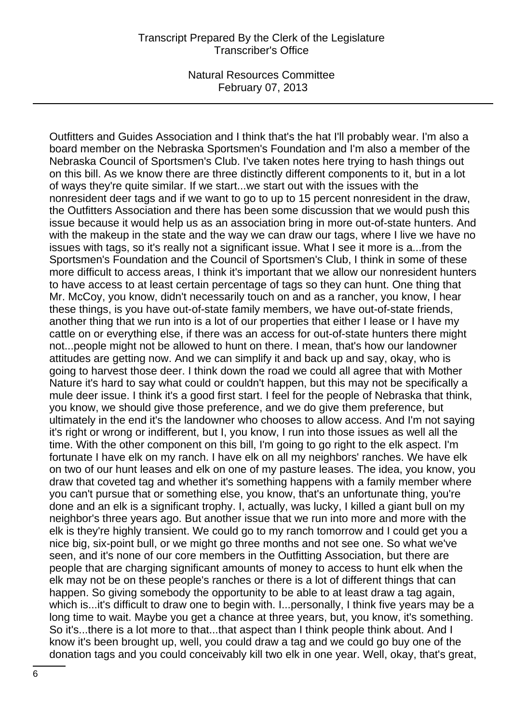Outfitters and Guides Association and I think that's the hat I'll probably wear. I'm also a board member on the Nebraska Sportsmen's Foundation and I'm also a member of the Nebraska Council of Sportsmen's Club. I've taken notes here trying to hash things out on this bill. As we know there are three distinctly different components to it, but in a lot of ways they're quite similar. If we start...we start out with the issues with the nonresident deer tags and if we want to go to up to 15 percent nonresident in the draw, the Outfitters Association and there has been some discussion that we would push this issue because it would help us as an association bring in more out-of-state hunters. And with the makeup in the state and the way we can draw our tags, where I live we have no issues with tags, so it's really not a significant issue. What I see it more is a...from the Sportsmen's Foundation and the Council of Sportsmen's Club, I think in some of these more difficult to access areas, I think it's important that we allow our nonresident hunters to have access to at least certain percentage of tags so they can hunt. One thing that Mr. McCoy, you know, didn't necessarily touch on and as a rancher, you know, I hear these things, is you have out-of-state family members, we have out-of-state friends, another thing that we run into is a lot of our properties that either I lease or I have my cattle on or everything else, if there was an access for out-of-state hunters there might not...people might not be allowed to hunt on there. I mean, that's how our landowner attitudes are getting now. And we can simplify it and back up and say, okay, who is going to harvest those deer. I think down the road we could all agree that with Mother Nature it's hard to say what could or couldn't happen, but this may not be specifically a mule deer issue. I think it's a good first start. I feel for the people of Nebraska that think, you know, we should give those preference, and we do give them preference, but ultimately in the end it's the landowner who chooses to allow access. And I'm not saying it's right or wrong or indifferent, but I, you know, I run into those issues as well all the time. With the other component on this bill, I'm going to go right to the elk aspect. I'm fortunate I have elk on my ranch. I have elk on all my neighbors' ranches. We have elk on two of our hunt leases and elk on one of my pasture leases. The idea, you know, you draw that coveted tag and whether it's something happens with a family member where you can't pursue that or something else, you know, that's an unfortunate thing, you're done and an elk is a significant trophy. I, actually, was lucky, I killed a giant bull on my neighbor's three years ago. But another issue that we run into more and more with the elk is they're highly transient. We could go to my ranch tomorrow and I could get you a nice big, six-point bull, or we might go three months and not see one. So what we've seen, and it's none of our core members in the Outfitting Association, but there are people that are charging significant amounts of money to access to hunt elk when the elk may not be on these people's ranches or there is a lot of different things that can happen. So giving somebody the opportunity to be able to at least draw a tag again, which is...it's difficult to draw one to begin with. I...personally, I think five years may be a long time to wait. Maybe you get a chance at three years, but, you know, it's something. So it's...there is a lot more to that...that aspect than I think people think about. And I know it's been brought up, well, you could draw a tag and we could go buy one of the donation tags and you could conceivably kill two elk in one year. Well, okay, that's great,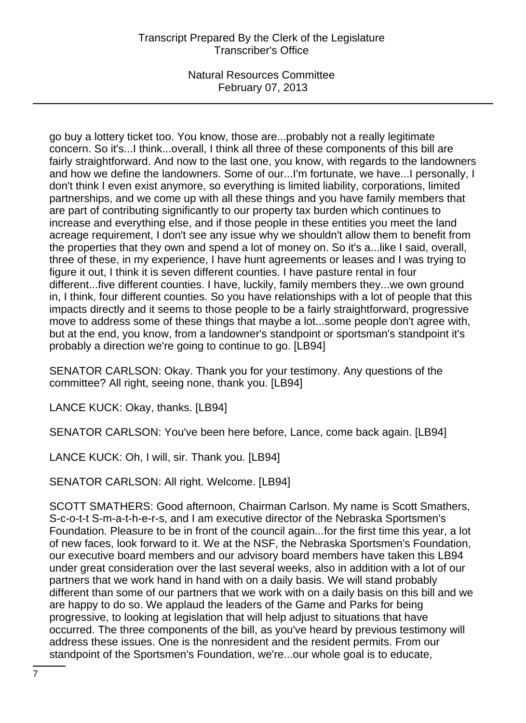go buy a lottery ticket too. You know, those are...probably not a really legitimate concern. So it's...I think...overall, I think all three of these components of this bill are fairly straightforward. And now to the last one, you know, with regards to the landowners and how we define the landowners. Some of our...I'm fortunate, we have...I personally, I don't think I even exist anymore, so everything is limited liability, corporations, limited partnerships, and we come up with all these things and you have family members that are part of contributing significantly to our property tax burden which continues to increase and everything else, and if those people in these entities you meet the land acreage requirement, I don't see any issue why we shouldn't allow them to benefit from the properties that they own and spend a lot of money on. So it's a...like I said, overall, three of these, in my experience, I have hunt agreements or leases and I was trying to figure it out, I think it is seven different counties. I have pasture rental in four different...five different counties. I have, luckily, family members they...we own ground in, I think, four different counties. So you have relationships with a lot of people that this impacts directly and it seems to those people to be a fairly straightforward, progressive move to address some of these things that maybe a lot...some people don't agree with, but at the end, you know, from a landowner's standpoint or sportsman's standpoint it's probably a direction we're going to continue to go. [LB94]

SENATOR CARLSON: Okay. Thank you for your testimony. Any questions of the committee? All right, seeing none, thank you. [LB94]

LANCE KUCK: Okay, thanks. [LB94]

SENATOR CARLSON: You've been here before, Lance, come back again. [LB94]

LANCE KUCK: Oh, I will, sir. Thank you. [LB94]

SENATOR CARLSON: All right. Welcome. [LB94]

SCOTT SMATHERS: Good afternoon, Chairman Carlson. My name is Scott Smathers, S-c-o-t-t S-m-a-t-h-e-r-s, and I am executive director of the Nebraska Sportsmen's Foundation. Pleasure to be in front of the council again...for the first time this year, a lot of new faces, look forward to it. We at the NSF, the Nebraska Sportsmen's Foundation, our executive board members and our advisory board members have taken this LB94 under great consideration over the last several weeks, also in addition with a lot of our partners that we work hand in hand with on a daily basis. We will stand probably different than some of our partners that we work with on a daily basis on this bill and we are happy to do so. We applaud the leaders of the Game and Parks for being progressive, to looking at legislation that will help adjust to situations that have occurred. The three components of the bill, as you've heard by previous testimony will address these issues. One is the nonresident and the resident permits. From our standpoint of the Sportsmen's Foundation, we're...our whole goal is to educate,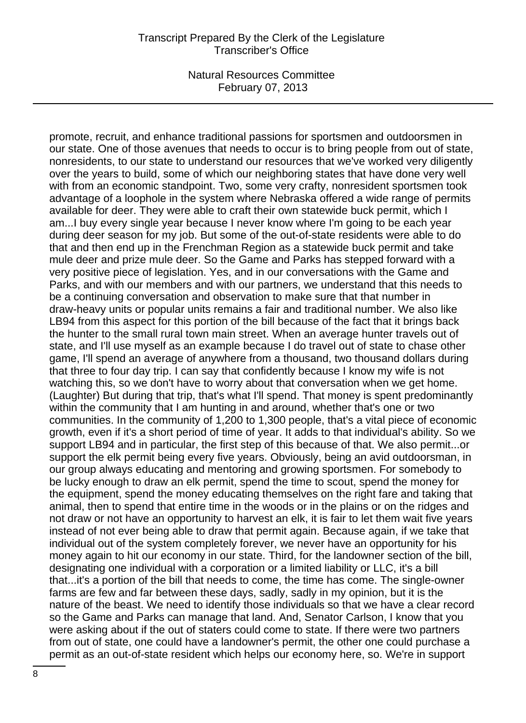promote, recruit, and enhance traditional passions for sportsmen and outdoorsmen in our state. One of those avenues that needs to occur is to bring people from out of state, nonresidents, to our state to understand our resources that we've worked very diligently over the years to build, some of which our neighboring states that have done very well with from an economic standpoint. Two, some very crafty, nonresident sportsmen took advantage of a loophole in the system where Nebraska offered a wide range of permits available for deer. They were able to craft their own statewide buck permit, which I am...I buy every single year because I never know where I'm going to be each year during deer season for my job. But some of the out-of-state residents were able to do that and then end up in the Frenchman Region as a statewide buck permit and take mule deer and prize mule deer. So the Game and Parks has stepped forward with a very positive piece of legislation. Yes, and in our conversations with the Game and Parks, and with our members and with our partners, we understand that this needs to be a continuing conversation and observation to make sure that that number in draw-heavy units or popular units remains a fair and traditional number. We also like LB94 from this aspect for this portion of the bill because of the fact that it brings back the hunter to the small rural town main street. When an average hunter travels out of state, and I'll use myself as an example because I do travel out of state to chase other game, I'll spend an average of anywhere from a thousand, two thousand dollars during that three to four day trip. I can say that confidently because I know my wife is not watching this, so we don't have to worry about that conversation when we get home. (Laughter) But during that trip, that's what I'll spend. That money is spent predominantly within the community that I am hunting in and around, whether that's one or two communities. In the community of 1,200 to 1,300 people, that's a vital piece of economic growth, even if it's a short period of time of year. It adds to that individual's ability. So we support LB94 and in particular, the first step of this because of that. We also permit...or support the elk permit being every five years. Obviously, being an avid outdoorsman, in our group always educating and mentoring and growing sportsmen. For somebody to be lucky enough to draw an elk permit, spend the time to scout, spend the money for the equipment, spend the money educating themselves on the right fare and taking that animal, then to spend that entire time in the woods or in the plains or on the ridges and not draw or not have an opportunity to harvest an elk, it is fair to let them wait five years instead of not ever being able to draw that permit again. Because again, if we take that individual out of the system completely forever, we never have an opportunity for his money again to hit our economy in our state. Third, for the landowner section of the bill, designating one individual with a corporation or a limited liability or LLC, it's a bill that...it's a portion of the bill that needs to come, the time has come. The single-owner farms are few and far between these days, sadly, sadly in my opinion, but it is the nature of the beast. We need to identify those individuals so that we have a clear record so the Game and Parks can manage that land. And, Senator Carlson, I know that you were asking about if the out of staters could come to state. If there were two partners from out of state, one could have a landowner's permit, the other one could purchase a permit as an out-of-state resident which helps our economy here, so. We're in support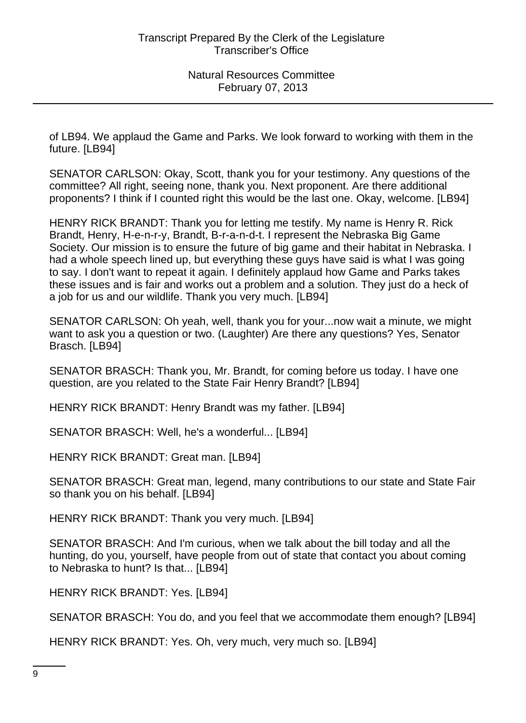of LB94. We applaud the Game and Parks. We look forward to working with them in the future. [LB94]

SENATOR CARLSON: Okay, Scott, thank you for your testimony. Any questions of the committee? All right, seeing none, thank you. Next proponent. Are there additional proponents? I think if I counted right this would be the last one. Okay, welcome. [LB94]

HENRY RICK BRANDT: Thank you for letting me testify. My name is Henry R. Rick Brandt, Henry, H-e-n-r-y, Brandt, B-r-a-n-d-t. I represent the Nebraska Big Game Society. Our mission is to ensure the future of big game and their habitat in Nebraska. I had a whole speech lined up, but everything these guys have said is what I was going to say. I don't want to repeat it again. I definitely applaud how Game and Parks takes these issues and is fair and works out a problem and a solution. They just do a heck of a job for us and our wildlife. Thank you very much. [LB94]

SENATOR CARLSON: Oh yeah, well, thank you for your...now wait a minute, we might want to ask you a question or two. (Laughter) Are there any questions? Yes, Senator Brasch. [LB94]

SENATOR BRASCH: Thank you, Mr. Brandt, for coming before us today. I have one question, are you related to the State Fair Henry Brandt? [LB94]

HENRY RICK BRANDT: Henry Brandt was my father. [LB94]

SENATOR BRASCH: Well, he's a wonderful... [LB94]

HENRY RICK BRANDT: Great man. [LB94]

SENATOR BRASCH: Great man, legend, many contributions to our state and State Fair so thank you on his behalf. [LB94]

HENRY RICK BRANDT: Thank you very much. [LB94]

SENATOR BRASCH: And I'm curious, when we talk about the bill today and all the hunting, do you, yourself, have people from out of state that contact you about coming to Nebraska to hunt? Is that... [LB94]

HENRY RICK BRANDT: Yes. [LB94]

SENATOR BRASCH: You do, and you feel that we accommodate them enough? [LB94]

HENRY RICK BRANDT: Yes. Oh, very much, very much so. [LB94]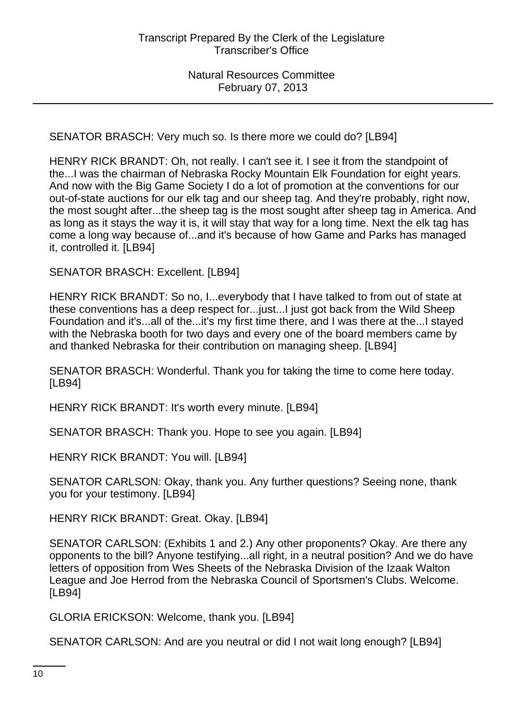SENATOR BRASCH: Very much so. Is there more we could do? [LB94]

HENRY RICK BRANDT: Oh, not really. I can't see it. I see it from the standpoint of the...I was the chairman of Nebraska Rocky Mountain Elk Foundation for eight years. And now with the Big Game Society I do a lot of promotion at the conventions for our out-of-state auctions for our elk tag and our sheep tag. And they're probably, right now, the most sought after...the sheep tag is the most sought after sheep tag in America. And as long as it stays the way it is, it will stay that way for a long time. Next the elk tag has come a long way because of...and it's because of how Game and Parks has managed it, controlled it. [LB94]

SENATOR BRASCH: Excellent. [LB94]

HENRY RICK BRANDT: So no, I...everybody that I have talked to from out of state at these conventions has a deep respect for...just...I just got back from the Wild Sheep Foundation and it's...all of the...it's my first time there, and I was there at the...I stayed with the Nebraska booth for two days and every one of the board members came by and thanked Nebraska for their contribution on managing sheep. [LB94]

SENATOR BRASCH: Wonderful. Thank you for taking the time to come here today. [LB94]

HENRY RICK BRANDT: It's worth every minute. [LB94]

SENATOR BRASCH: Thank you. Hope to see you again. [LB94]

HENRY RICK BRANDT: You will. [LB94]

SENATOR CARLSON: Okay, thank you. Any further questions? Seeing none, thank you for your testimony. [LB94]

HENRY RICK BRANDT: Great. Okay. [LB94]

SENATOR CARLSON: (Exhibits 1 and 2.) Any other proponents? Okay. Are there any opponents to the bill? Anyone testifying...all right, in a neutral position? And we do have letters of opposition from Wes Sheets of the Nebraska Division of the Izaak Walton League and Joe Herrod from the Nebraska Council of Sportsmen's Clubs. Welcome. [LB94]

GLORIA ERICKSON: Welcome, thank you. [LB94]

SENATOR CARLSON: And are you neutral or did I not wait long enough? [LB94]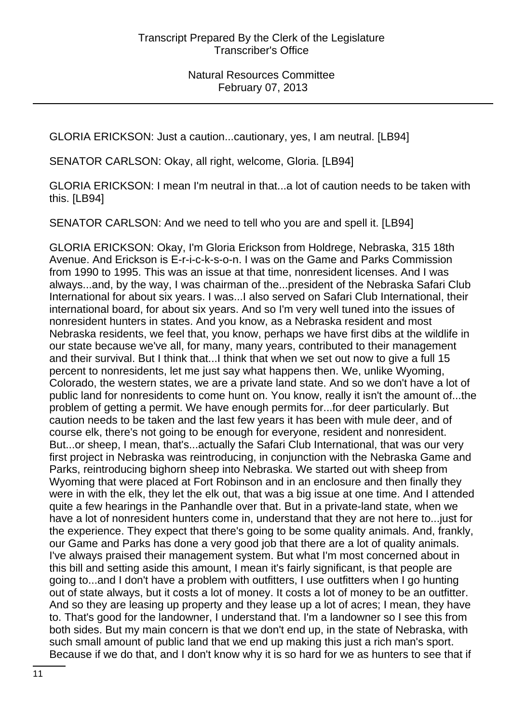GLORIA ERICKSON: Just a caution...cautionary, yes, I am neutral. [LB94]

SENATOR CARLSON: Okay, all right, welcome, Gloria. [LB94]

GLORIA ERICKSON: I mean I'm neutral in that...a lot of caution needs to be taken with this. [LB94]

SENATOR CARLSON: And we need to tell who you are and spell it. [LB94]

GLORIA ERICKSON: Okay, I'm Gloria Erickson from Holdrege, Nebraska, 315 18th Avenue. And Erickson is E-r-i-c-k-s-o-n. I was on the Game and Parks Commission from 1990 to 1995. This was an issue at that time, nonresident licenses. And I was always...and, by the way, I was chairman of the...president of the Nebraska Safari Club International for about six years. I was...I also served on Safari Club International, their international board, for about six years. And so I'm very well tuned into the issues of nonresident hunters in states. And you know, as a Nebraska resident and most Nebraska residents, we feel that, you know, perhaps we have first dibs at the wildlife in our state because we've all, for many, many years, contributed to their management and their survival. But I think that...I think that when we set out now to give a full 15 percent to nonresidents, let me just say what happens then. We, unlike Wyoming, Colorado, the western states, we are a private land state. And so we don't have a lot of public land for nonresidents to come hunt on. You know, really it isn't the amount of...the problem of getting a permit. We have enough permits for...for deer particularly. But caution needs to be taken and the last few years it has been with mule deer, and of course elk, there's not going to be enough for everyone, resident and nonresident. But...or sheep, I mean, that's...actually the Safari Club International, that was our very first project in Nebraska was reintroducing, in conjunction with the Nebraska Game and Parks, reintroducing bighorn sheep into Nebraska. We started out with sheep from Wyoming that were placed at Fort Robinson and in an enclosure and then finally they were in with the elk, they let the elk out, that was a big issue at one time. And I attended quite a few hearings in the Panhandle over that. But in a private-land state, when we have a lot of nonresident hunters come in, understand that they are not here to...just for the experience. They expect that there's going to be some quality animals. And, frankly, our Game and Parks has done a very good job that there are a lot of quality animals. I've always praised their management system. But what I'm most concerned about in this bill and setting aside this amount, I mean it's fairly significant, is that people are going to...and I don't have a problem with outfitters, I use outfitters when I go hunting out of state always, but it costs a lot of money. It costs a lot of money to be an outfitter. And so they are leasing up property and they lease up a lot of acres; I mean, they have to. That's good for the landowner, I understand that. I'm a landowner so I see this from both sides. But my main concern is that we don't end up, in the state of Nebraska, with such small amount of public land that we end up making this just a rich man's sport. Because if we do that, and I don't know why it is so hard for we as hunters to see that if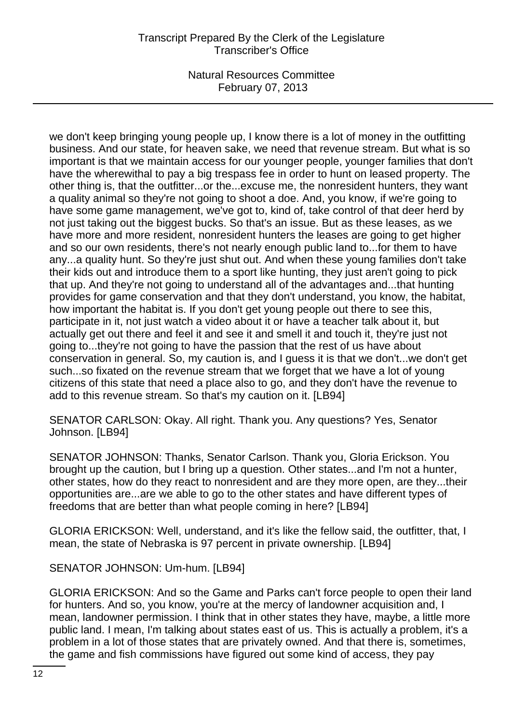we don't keep bringing young people up, I know there is a lot of money in the outfitting business. And our state, for heaven sake, we need that revenue stream. But what is so important is that we maintain access for our younger people, younger families that don't have the wherewithal to pay a big trespass fee in order to hunt on leased property. The other thing is, that the outfitter...or the...excuse me, the nonresident hunters, they want a quality animal so they're not going to shoot a doe. And, you know, if we're going to have some game management, we've got to, kind of, take control of that deer herd by not just taking out the biggest bucks. So that's an issue. But as these leases, as we have more and more resident, nonresident hunters the leases are going to get higher and so our own residents, there's not nearly enough public land to...for them to have any...a quality hunt. So they're just shut out. And when these young families don't take their kids out and introduce them to a sport like hunting, they just aren't going to pick that up. And they're not going to understand all of the advantages and...that hunting provides for game conservation and that they don't understand, you know, the habitat, how important the habitat is. If you don't get young people out there to see this, participate in it, not just watch a video about it or have a teacher talk about it, but actually get out there and feel it and see it and smell it and touch it, they're just not going to...they're not going to have the passion that the rest of us have about conservation in general. So, my caution is, and I guess it is that we don't...we don't get such...so fixated on the revenue stream that we forget that we have a lot of young citizens of this state that need a place also to go, and they don't have the revenue to add to this revenue stream. So that's my caution on it. [LB94]

SENATOR CARLSON: Okay. All right. Thank you. Any questions? Yes, Senator Johnson. [LB94]

SENATOR JOHNSON: Thanks, Senator Carlson. Thank you, Gloria Erickson. You brought up the caution, but I bring up a question. Other states...and I'm not a hunter, other states, how do they react to nonresident and are they more open, are they...their opportunities are...are we able to go to the other states and have different types of freedoms that are better than what people coming in here? [LB94]

GLORIA ERICKSON: Well, understand, and it's like the fellow said, the outfitter, that, I mean, the state of Nebraska is 97 percent in private ownership. [LB94]

SENATOR JOHNSON: Um-hum. [LB94]

GLORIA ERICKSON: And so the Game and Parks can't force people to open their land for hunters. And so, you know, you're at the mercy of landowner acquisition and, I mean, landowner permission. I think that in other states they have, maybe, a little more public land. I mean, I'm talking about states east of us. This is actually a problem, it's a problem in a lot of those states that are privately owned. And that there is, sometimes, the game and fish commissions have figured out some kind of access, they pay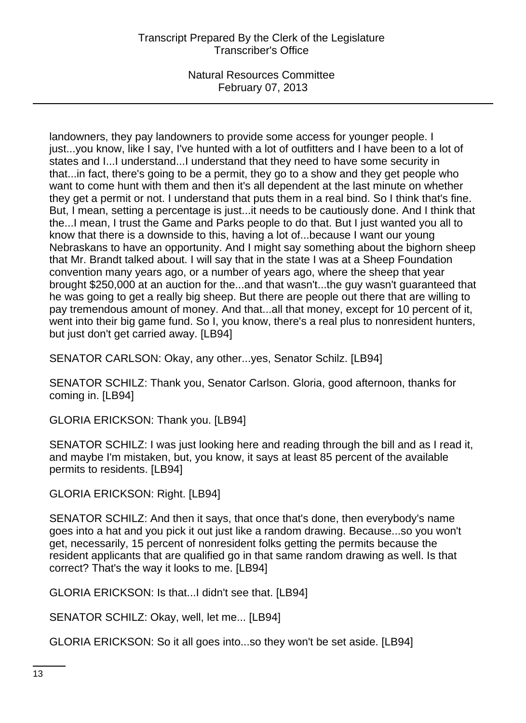landowners, they pay landowners to provide some access for younger people. I just...you know, like I say, I've hunted with a lot of outfitters and I have been to a lot of states and I...I understand...I understand that they need to have some security in that...in fact, there's going to be a permit, they go to a show and they get people who want to come hunt with them and then it's all dependent at the last minute on whether they get a permit or not. I understand that puts them in a real bind. So I think that's fine. But, I mean, setting a percentage is just...it needs to be cautiously done. And I think that the...I mean, I trust the Game and Parks people to do that. But I just wanted you all to know that there is a downside to this, having a lot of...because I want our young Nebraskans to have an opportunity. And I might say something about the bighorn sheep that Mr. Brandt talked about. I will say that in the state I was at a Sheep Foundation convention many years ago, or a number of years ago, where the sheep that year brought \$250,000 at an auction for the...and that wasn't...the guy wasn't guaranteed that he was going to get a really big sheep. But there are people out there that are willing to pay tremendous amount of money. And that...all that money, except for 10 percent of it, went into their big game fund. So I, you know, there's a real plus to nonresident hunters, but just don't get carried away. [LB94]

SENATOR CARLSON: Okay, any other...yes, Senator Schilz. [LB94]

SENATOR SCHILZ: Thank you, Senator Carlson. Gloria, good afternoon, thanks for coming in. [LB94]

GLORIA ERICKSON: Thank you. [LB94]

SENATOR SCHILZ: I was just looking here and reading through the bill and as I read it, and maybe I'm mistaken, but, you know, it says at least 85 percent of the available permits to residents. [LB94]

GLORIA ERICKSON: Right. [LB94]

SENATOR SCHILZ: And then it says, that once that's done, then everybody's name goes into a hat and you pick it out just like a random drawing. Because...so you won't get, necessarily, 15 percent of nonresident folks getting the permits because the resident applicants that are qualified go in that same random drawing as well. Is that correct? That's the way it looks to me. [LB94]

GLORIA ERICKSON: Is that...I didn't see that. [LB94]

SENATOR SCHILZ: Okay, well, let me... [LB94]

GLORIA ERICKSON: So it all goes into...so they won't be set aside. [LB94]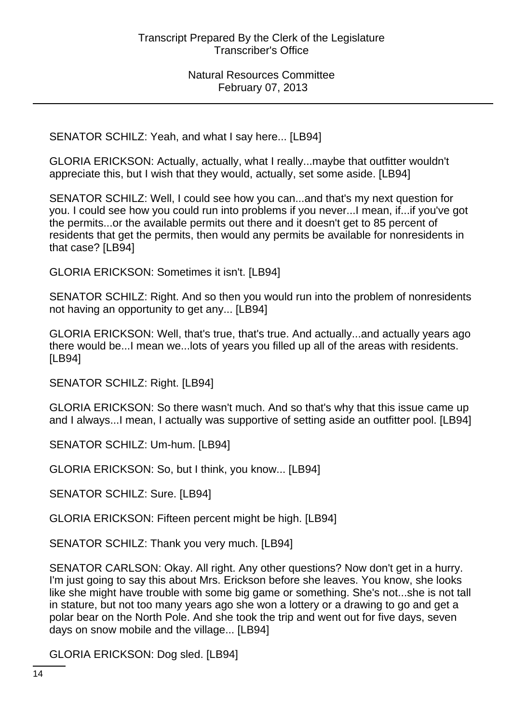SENATOR SCHILZ: Yeah, and what I say here... [LB94]

GLORIA ERICKSON: Actually, actually, what I really...maybe that outfitter wouldn't appreciate this, but I wish that they would, actually, set some aside. [LB94]

SENATOR SCHILZ: Well, I could see how you can...and that's my next question for you. I could see how you could run into problems if you never...I mean, if...if you've got the permits...or the available permits out there and it doesn't get to 85 percent of residents that get the permits, then would any permits be available for nonresidents in that case? [LB94]

GLORIA ERICKSON: Sometimes it isn't. [LB94]

SENATOR SCHILZ: Right. And so then you would run into the problem of nonresidents not having an opportunity to get any... [LB94]

GLORIA ERICKSON: Well, that's true, that's true. And actually...and actually years ago there would be...I mean we...lots of years you filled up all of the areas with residents. [LB94]

SENATOR SCHILZ: Right. [LB94]

GLORIA ERICKSON: So there wasn't much. And so that's why that this issue came up and I always...I mean, I actually was supportive of setting aside an outfitter pool. [LB94]

SENATOR SCHILZ: Um-hum. [LB94]

GLORIA ERICKSON: So, but I think, you know... [LB94]

SENATOR SCHILZ: Sure. [LB94]

GLORIA ERICKSON: Fifteen percent might be high. [LB94]

SENATOR SCHILZ: Thank you very much. [LB94]

SENATOR CARLSON: Okay. All right. Any other questions? Now don't get in a hurry. I'm just going to say this about Mrs. Erickson before she leaves. You know, she looks like she might have trouble with some big game or something. She's not...she is not tall in stature, but not too many years ago she won a lottery or a drawing to go and get a polar bear on the North Pole. And she took the trip and went out for five days, seven days on snow mobile and the village... [LB94]

GLORIA ERICKSON: Dog sled. [LB94]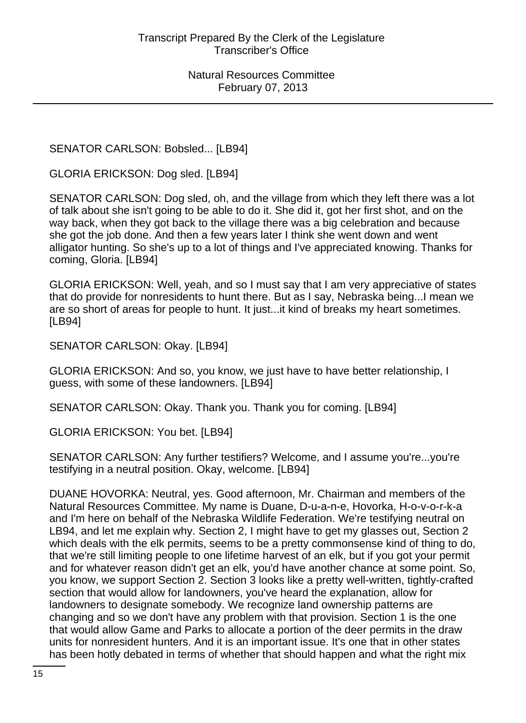SENATOR CARLSON: Bobsled... [LB94]

GLORIA ERICKSON: Dog sled. [LB94]

SENATOR CARLSON: Dog sled, oh, and the village from which they left there was a lot of talk about she isn't going to be able to do it. She did it, got her first shot, and on the way back, when they got back to the village there was a big celebration and because she got the job done. And then a few years later I think she went down and went alligator hunting. So she's up to a lot of things and I've appreciated knowing. Thanks for coming, Gloria. [LB94]

GLORIA ERICKSON: Well, yeah, and so I must say that I am very appreciative of states that do provide for nonresidents to hunt there. But as I say, Nebraska being...I mean we are so short of areas for people to hunt. It just...it kind of breaks my heart sometimes. [LB94]

SENATOR CARLSON: Okay. [LB94]

GLORIA ERICKSON: And so, you know, we just have to have better relationship, I guess, with some of these landowners. [LB94]

SENATOR CARLSON: Okay. Thank you. Thank you for coming. [LB94]

GLORIA ERICKSON: You bet. [LB94]

SENATOR CARLSON: Any further testifiers? Welcome, and I assume you're...you're testifying in a neutral position. Okay, welcome. [LB94]

DUANE HOVORKA: Neutral, yes. Good afternoon, Mr. Chairman and members of the Natural Resources Committee. My name is Duane, D-u-a-n-e, Hovorka, H-o-v-o-r-k-a and I'm here on behalf of the Nebraska Wildlife Federation. We're testifying neutral on LB94, and let me explain why. Section 2, I might have to get my glasses out, Section 2 which deals with the elk permits, seems to be a pretty commonsense kind of thing to do, that we're still limiting people to one lifetime harvest of an elk, but if you got your permit and for whatever reason didn't get an elk, you'd have another chance at some point. So, you know, we support Section 2. Section 3 looks like a pretty well-written, tightly-crafted section that would allow for landowners, you've heard the explanation, allow for landowners to designate somebody. We recognize land ownership patterns are changing and so we don't have any problem with that provision. Section 1 is the one that would allow Game and Parks to allocate a portion of the deer permits in the draw units for nonresident hunters. And it is an important issue. It's one that in other states has been hotly debated in terms of whether that should happen and what the right mix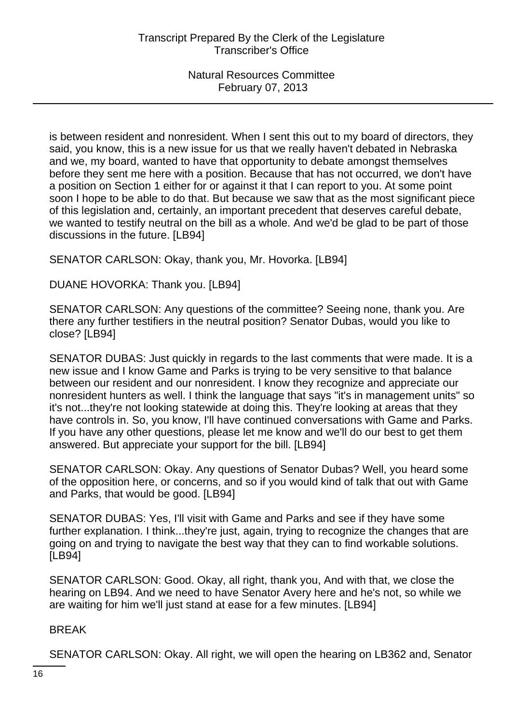is between resident and nonresident. When I sent this out to my board of directors, they said, you know, this is a new issue for us that we really haven't debated in Nebraska and we, my board, wanted to have that opportunity to debate amongst themselves before they sent me here with a position. Because that has not occurred, we don't have a position on Section 1 either for or against it that I can report to you. At some point soon I hope to be able to do that. But because we saw that as the most significant piece of this legislation and, certainly, an important precedent that deserves careful debate, we wanted to testify neutral on the bill as a whole. And we'd be glad to be part of those discussions in the future. [LB94]

SENATOR CARLSON: Okay, thank you, Mr. Hovorka. [LB94]

DUANE HOVORKA: Thank you. [LB94]

SENATOR CARLSON: Any questions of the committee? Seeing none, thank you. Are there any further testifiers in the neutral position? Senator Dubas, would you like to close? [LB94]

SENATOR DUBAS: Just quickly in regards to the last comments that were made. It is a new issue and I know Game and Parks is trying to be very sensitive to that balance between our resident and our nonresident. I know they recognize and appreciate our nonresident hunters as well. I think the language that says "it's in management units" so it's not...they're not looking statewide at doing this. They're looking at areas that they have controls in. So, you know, I'll have continued conversations with Game and Parks. If you have any other questions, please let me know and we'll do our best to get them answered. But appreciate your support for the bill. [LB94]

SENATOR CARLSON: Okay. Any questions of Senator Dubas? Well, you heard some of the opposition here, or concerns, and so if you would kind of talk that out with Game and Parks, that would be good. [LB94]

SENATOR DUBAS: Yes, I'll visit with Game and Parks and see if they have some further explanation. I think...they're just, again, trying to recognize the changes that are going on and trying to navigate the best way that they can to find workable solutions. [LB94]

SENATOR CARLSON: Good. Okay, all right, thank you, And with that, we close the hearing on LB94. And we need to have Senator Avery here and he's not, so while we are waiting for him we'll just stand at ease for a few minutes. [LB94]

BREAK

SENATOR CARLSON: Okay. All right, we will open the hearing on LB362 and, Senator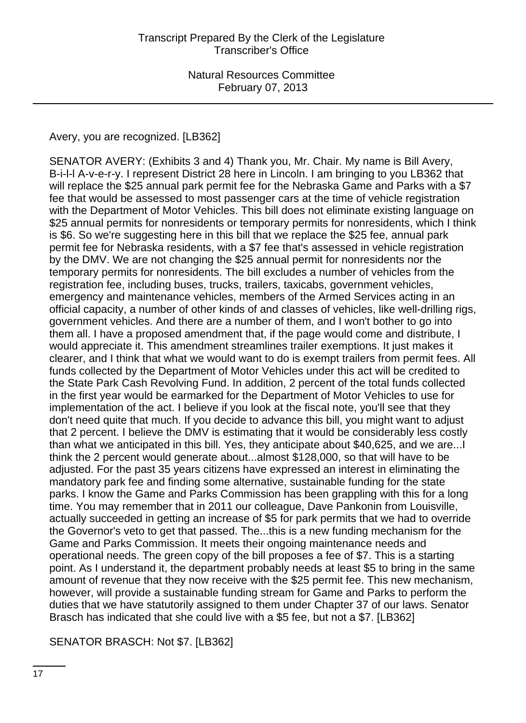Avery, you are recognized. [LB362]

SENATOR AVERY: (Exhibits 3 and 4) Thank you, Mr. Chair. My name is Bill Avery, B-i-l-l A-v-e-r-y. I represent District 28 here in Lincoln. I am bringing to you LB362 that will replace the \$25 annual park permit fee for the Nebraska Game and Parks with a \$7 fee that would be assessed to most passenger cars at the time of vehicle registration with the Department of Motor Vehicles. This bill does not eliminate existing language on \$25 annual permits for nonresidents or temporary permits for nonresidents, which I think is \$6. So we're suggesting here in this bill that we replace the \$25 fee, annual park permit fee for Nebraska residents, with a \$7 fee that's assessed in vehicle registration by the DMV. We are not changing the \$25 annual permit for nonresidents nor the temporary permits for nonresidents. The bill excludes a number of vehicles from the registration fee, including buses, trucks, trailers, taxicabs, government vehicles, emergency and maintenance vehicles, members of the Armed Services acting in an official capacity, a number of other kinds of and classes of vehicles, like well-drilling rigs, government vehicles. And there are a number of them, and I won't bother to go into them all. I have a proposed amendment that, if the page would come and distribute, I would appreciate it. This amendment streamlines trailer exemptions. It just makes it clearer, and I think that what we would want to do is exempt trailers from permit fees. All funds collected by the Department of Motor Vehicles under this act will be credited to the State Park Cash Revolving Fund. In addition, 2 percent of the total funds collected in the first year would be earmarked for the Department of Motor Vehicles to use for implementation of the act. I believe if you look at the fiscal note, you'll see that they don't need quite that much. If you decide to advance this bill, you might want to adjust that 2 percent. I believe the DMV is estimating that it would be considerably less costly than what we anticipated in this bill. Yes, they anticipate about \$40,625, and we are...I think the 2 percent would generate about...almost \$128,000, so that will have to be adjusted. For the past 35 years citizens have expressed an interest in eliminating the mandatory park fee and finding some alternative, sustainable funding for the state parks. I know the Game and Parks Commission has been grappling with this for a long time. You may remember that in 2011 our colleague, Dave Pankonin from Louisville, actually succeeded in getting an increase of \$5 for park permits that we had to override the Governor's veto to get that passed. The...this is a new funding mechanism for the Game and Parks Commission. It meets their ongoing maintenance needs and operational needs. The green copy of the bill proposes a fee of \$7. This is a starting point. As I understand it, the department probably needs at least \$5 to bring in the same amount of revenue that they now receive with the \$25 permit fee. This new mechanism, however, will provide a sustainable funding stream for Game and Parks to perform the duties that we have statutorily assigned to them under Chapter 37 of our laws. Senator Brasch has indicated that she could live with a \$5 fee, but not a \$7. [LB362]

SENATOR BRASCH: Not \$7. [LB362]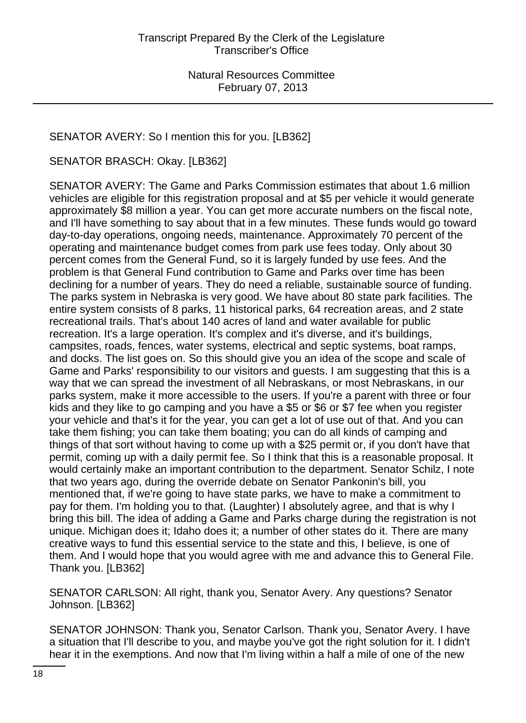# SENATOR AVERY: So I mention this for you. [LB362]

SENATOR BRASCH: Okay. [LB362]

SENATOR AVERY: The Game and Parks Commission estimates that about 1.6 million vehicles are eligible for this registration proposal and at \$5 per vehicle it would generate approximately \$8 million a year. You can get more accurate numbers on the fiscal note, and I'll have something to say about that in a few minutes. These funds would go toward day-to-day operations, ongoing needs, maintenance. Approximately 70 percent of the operating and maintenance budget comes from park use fees today. Only about 30 percent comes from the General Fund, so it is largely funded by use fees. And the problem is that General Fund contribution to Game and Parks over time has been declining for a number of years. They do need a reliable, sustainable source of funding. The parks system in Nebraska is very good. We have about 80 state park facilities. The entire system consists of 8 parks, 11 historical parks, 64 recreation areas, and 2 state recreational trails. That's about 140 acres of land and water available for public recreation. It's a large operation. It's complex and it's diverse, and it's buildings, campsites, roads, fences, water systems, electrical and septic systems, boat ramps, and docks. The list goes on. So this should give you an idea of the scope and scale of Game and Parks' responsibility to our visitors and guests. I am suggesting that this is a way that we can spread the investment of all Nebraskans, or most Nebraskans, in our parks system, make it more accessible to the users. If you're a parent with three or four kids and they like to go camping and you have a \$5 or \$6 or \$7 fee when you register your vehicle and that's it for the year, you can get a lot of use out of that. And you can take them fishing; you can take them boating; you can do all kinds of camping and things of that sort without having to come up with a \$25 permit or, if you don't have that permit, coming up with a daily permit fee. So I think that this is a reasonable proposal. It would certainly make an important contribution to the department. Senator Schilz, I note that two years ago, during the override debate on Senator Pankonin's bill, you mentioned that, if we're going to have state parks, we have to make a commitment to pay for them. I'm holding you to that. (Laughter) I absolutely agree, and that is why I bring this bill. The idea of adding a Game and Parks charge during the registration is not unique. Michigan does it; Idaho does it; a number of other states do it. There are many creative ways to fund this essential service to the state and this, I believe, is one of them. And I would hope that you would agree with me and advance this to General File. Thank you. [LB362]

SENATOR CARLSON: All right, thank you, Senator Avery. Any questions? Senator Johnson. [LB362]

SENATOR JOHNSON: Thank you, Senator Carlson. Thank you, Senator Avery. I have a situation that I'll describe to you, and maybe you've got the right solution for it. I didn't hear it in the exemptions. And now that I'm living within a half a mile of one of the new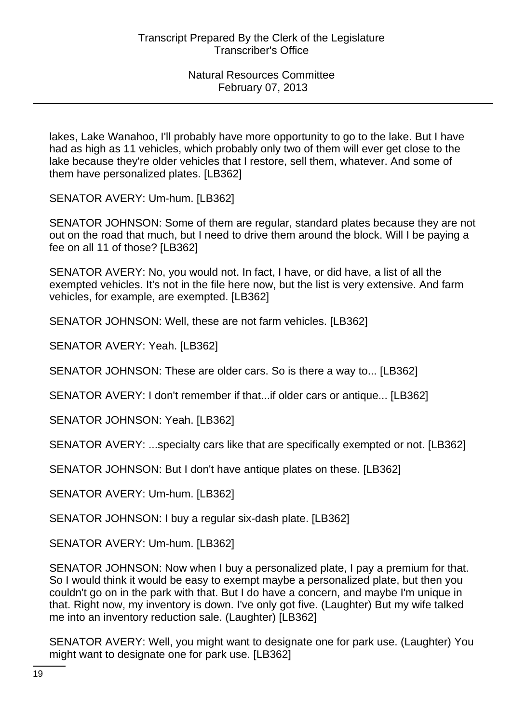lakes, Lake Wanahoo, I'll probably have more opportunity to go to the lake. But I have had as high as 11 vehicles, which probably only two of them will ever get close to the lake because they're older vehicles that I restore, sell them, whatever. And some of them have personalized plates. [LB362]

SENATOR AVERY: Um-hum. [LB362]

SENATOR JOHNSON: Some of them are regular, standard plates because they are not out on the road that much, but I need to drive them around the block. Will I be paying a fee on all 11 of those? [LB362]

SENATOR AVERY: No, you would not. In fact, I have, or did have, a list of all the exempted vehicles. It's not in the file here now, but the list is very extensive. And farm vehicles, for example, are exempted. [LB362]

SENATOR JOHNSON: Well, these are not farm vehicles. [LB362]

SENATOR AVERY: Yeah. [LB362]

SENATOR JOHNSON: These are older cars. So is there a way to... [LB362]

SENATOR AVERY: I don't remember if that...if older cars or antique... [LB362]

SENATOR JOHNSON: Yeah. [LB362]

SENATOR AVERY: ...specialty cars like that are specifically exempted or not. [LB362]

SENATOR JOHNSON: But I don't have antique plates on these. [LB362]

SENATOR AVERY: Um-hum. [LB362]

SENATOR JOHNSON: I buy a regular six-dash plate. [LB362]

SENATOR AVERY: Um-hum. [LB362]

SENATOR JOHNSON: Now when I buy a personalized plate, I pay a premium for that. So I would think it would be easy to exempt maybe a personalized plate, but then you couldn't go on in the park with that. But I do have a concern, and maybe I'm unique in that. Right now, my inventory is down. I've only got five. (Laughter) But my wife talked me into an inventory reduction sale. (Laughter) [LB362]

SENATOR AVERY: Well, you might want to designate one for park use. (Laughter) You might want to designate one for park use. [LB362]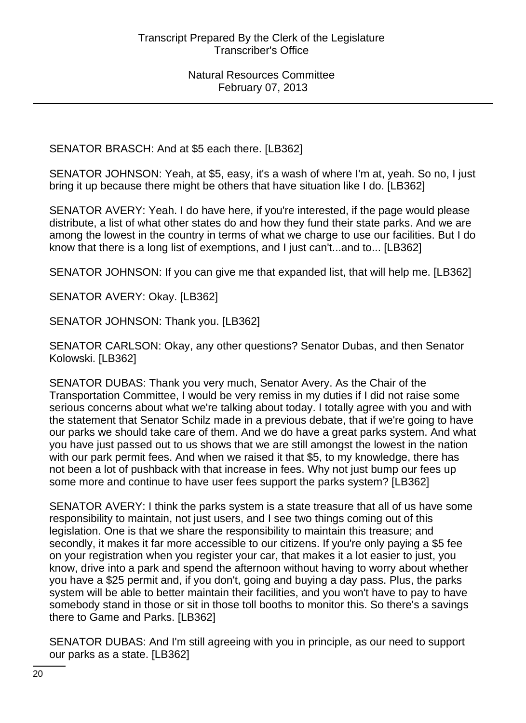SENATOR BRASCH: And at \$5 each there. [LB362]

SENATOR JOHNSON: Yeah, at \$5, easy, it's a wash of where I'm at, yeah. So no, I just bring it up because there might be others that have situation like I do. [LB362]

SENATOR AVERY: Yeah. I do have here, if you're interested, if the page would please distribute, a list of what other states do and how they fund their state parks. And we are among the lowest in the country in terms of what we charge to use our facilities. But I do know that there is a long list of exemptions, and I just can't...and to... [LB362]

SENATOR JOHNSON: If you can give me that expanded list, that will help me. [LB362]

SENATOR AVERY: Okay. [LB362]

SENATOR JOHNSON: Thank you. [LB362]

SENATOR CARLSON: Okay, any other questions? Senator Dubas, and then Senator Kolowski. [LB362]

SENATOR DUBAS: Thank you very much, Senator Avery. As the Chair of the Transportation Committee, I would be very remiss in my duties if I did not raise some serious concerns about what we're talking about today. I totally agree with you and with the statement that Senator Schilz made in a previous debate, that if we're going to have our parks we should take care of them. And we do have a great parks system. And what you have just passed out to us shows that we are still amongst the lowest in the nation with our park permit fees. And when we raised it that \$5, to my knowledge, there has not been a lot of pushback with that increase in fees. Why not just bump our fees up some more and continue to have user fees support the parks system? [LB362]

SENATOR AVERY: I think the parks system is a state treasure that all of us have some responsibility to maintain, not just users, and I see two things coming out of this legislation. One is that we share the responsibility to maintain this treasure; and secondly, it makes it far more accessible to our citizens. If you're only paying a \$5 fee on your registration when you register your car, that makes it a lot easier to just, you know, drive into a park and spend the afternoon without having to worry about whether you have a \$25 permit and, if you don't, going and buying a day pass. Plus, the parks system will be able to better maintain their facilities, and you won't have to pay to have somebody stand in those or sit in those toll booths to monitor this. So there's a savings there to Game and Parks. [LB362]

SENATOR DUBAS: And I'm still agreeing with you in principle, as our need to support our parks as a state. [LB362]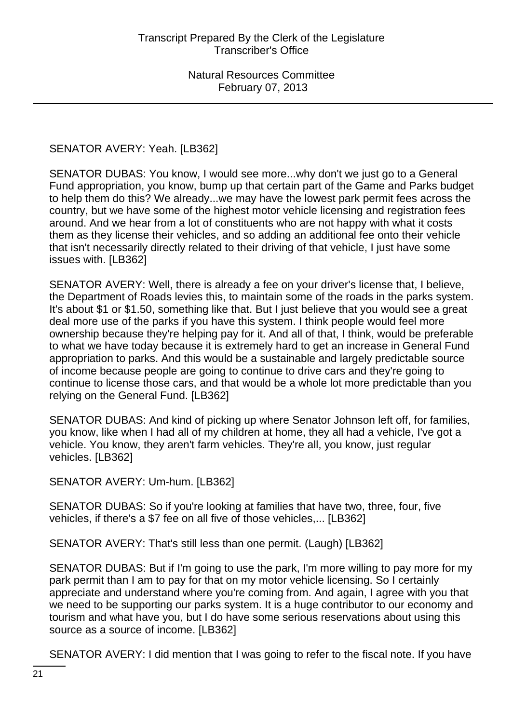# SENATOR AVERY: Yeah. [LB362]

SENATOR DUBAS: You know, I would see more...why don't we just go to a General Fund appropriation, you know, bump up that certain part of the Game and Parks budget to help them do this? We already...we may have the lowest park permit fees across the country, but we have some of the highest motor vehicle licensing and registration fees around. And we hear from a lot of constituents who are not happy with what it costs them as they license their vehicles, and so adding an additional fee onto their vehicle that isn't necessarily directly related to their driving of that vehicle, I just have some issues with. [LB362]

SENATOR AVERY: Well, there is already a fee on your driver's license that, I believe, the Department of Roads levies this, to maintain some of the roads in the parks system. It's about \$1 or \$1.50, something like that. But I just believe that you would see a great deal more use of the parks if you have this system. I think people would feel more ownership because they're helping pay for it. And all of that, I think, would be preferable to what we have today because it is extremely hard to get an increase in General Fund appropriation to parks. And this would be a sustainable and largely predictable source of income because people are going to continue to drive cars and they're going to continue to license those cars, and that would be a whole lot more predictable than you relying on the General Fund. [LB362]

SENATOR DUBAS: And kind of picking up where Senator Johnson left off, for families, you know, like when I had all of my children at home, they all had a vehicle, I've got a vehicle. You know, they aren't farm vehicles. They're all, you know, just regular vehicles. [LB362]

SENATOR AVERY: Um-hum. [LB362]

SENATOR DUBAS: So if you're looking at families that have two, three, four, five vehicles, if there's a \$7 fee on all five of those vehicles,... [LB362]

SENATOR AVERY: That's still less than one permit. (Laugh) [LB362]

SENATOR DUBAS: But if I'm going to use the park, I'm more willing to pay more for my park permit than I am to pay for that on my motor vehicle licensing. So I certainly appreciate and understand where you're coming from. And again, I agree with you that we need to be supporting our parks system. It is a huge contributor to our economy and tourism and what have you, but I do have some serious reservations about using this source as a source of income. [LB362]

SENATOR AVERY: I did mention that I was going to refer to the fiscal note. If you have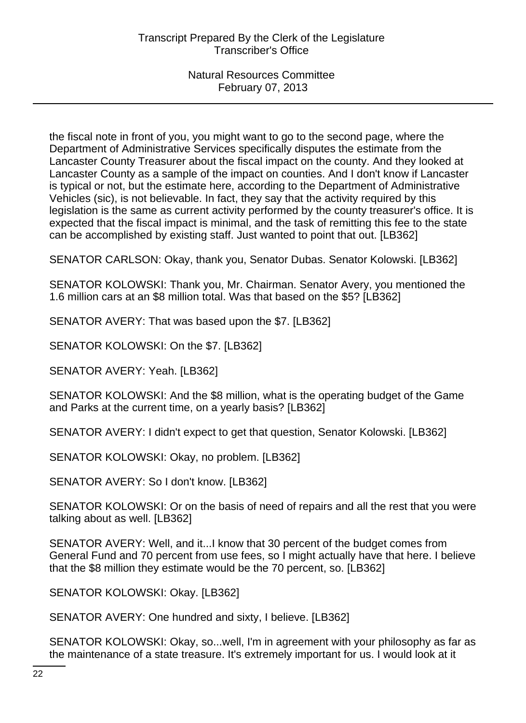the fiscal note in front of you, you might want to go to the second page, where the Department of Administrative Services specifically disputes the estimate from the Lancaster County Treasurer about the fiscal impact on the county. And they looked at Lancaster County as a sample of the impact on counties. And I don't know if Lancaster is typical or not, but the estimate here, according to the Department of Administrative Vehicles (sic), is not believable. In fact, they say that the activity required by this legislation is the same as current activity performed by the county treasurer's office. It is expected that the fiscal impact is minimal, and the task of remitting this fee to the state can be accomplished by existing staff. Just wanted to point that out. [LB362]

SENATOR CARLSON: Okay, thank you, Senator Dubas. Senator Kolowski. [LB362]

SENATOR KOLOWSKI: Thank you, Mr. Chairman. Senator Avery, you mentioned the 1.6 million cars at an \$8 million total. Was that based on the \$5? [LB362]

SENATOR AVERY: That was based upon the \$7. [LB362]

SENATOR KOLOWSKI: On the \$7. [LB362]

SENATOR AVERY: Yeah. [LB362]

SENATOR KOLOWSKI: And the \$8 million, what is the operating budget of the Game and Parks at the current time, on a yearly basis? [LB362]

SENATOR AVERY: I didn't expect to get that question, Senator Kolowski. [LB362]

SENATOR KOLOWSKI: Okay, no problem. [LB362]

SENATOR AVERY: So I don't know. [LB362]

SENATOR KOLOWSKI: Or on the basis of need of repairs and all the rest that you were talking about as well. [LB362]

SENATOR AVERY: Well, and it...I know that 30 percent of the budget comes from General Fund and 70 percent from use fees, so I might actually have that here. I believe that the \$8 million they estimate would be the 70 percent, so. [LB362]

SENATOR KOLOWSKI: Okay. [LB362]

SENATOR AVERY: One hundred and sixty, I believe. [LB362]

SENATOR KOLOWSKI: Okay, so...well, I'm in agreement with your philosophy as far as the maintenance of a state treasure. It's extremely important for us. I would look at it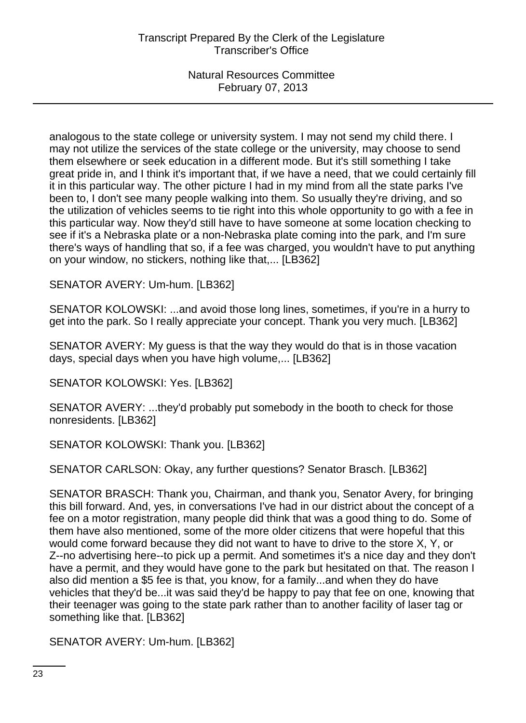analogous to the state college or university system. I may not send my child there. I may not utilize the services of the state college or the university, may choose to send them elsewhere or seek education in a different mode. But it's still something I take great pride in, and I think it's important that, if we have a need, that we could certainly fill it in this particular way. The other picture I had in my mind from all the state parks I've been to, I don't see many people walking into them. So usually they're driving, and so the utilization of vehicles seems to tie right into this whole opportunity to go with a fee in this particular way. Now they'd still have to have someone at some location checking to see if it's a Nebraska plate or a non-Nebraska plate coming into the park, and I'm sure there's ways of handling that so, if a fee was charged, you wouldn't have to put anything on your window, no stickers, nothing like that,... [LB362]

SENATOR AVERY: Um-hum. [LB362]

SENATOR KOLOWSKI: ...and avoid those long lines, sometimes, if you're in a hurry to get into the park. So I really appreciate your concept. Thank you very much. [LB362]

SENATOR AVERY: My guess is that the way they would do that is in those vacation days, special days when you have high volume,... [LB362]

SENATOR KOLOWSKI: Yes. [LB362]

SENATOR AVERY: ...they'd probably put somebody in the booth to check for those nonresidents. [LB362]

SENATOR KOLOWSKI: Thank you. [LB362]

SENATOR CARLSON: Okay, any further questions? Senator Brasch. [LB362]

SENATOR BRASCH: Thank you, Chairman, and thank you, Senator Avery, for bringing this bill forward. And, yes, in conversations I've had in our district about the concept of a fee on a motor registration, many people did think that was a good thing to do. Some of them have also mentioned, some of the more older citizens that were hopeful that this would come forward because they did not want to have to drive to the store X, Y, or Z--no advertising here--to pick up a permit. And sometimes it's a nice day and they don't have a permit, and they would have gone to the park but hesitated on that. The reason I also did mention a \$5 fee is that, you know, for a family...and when they do have vehicles that they'd be...it was said they'd be happy to pay that fee on one, knowing that their teenager was going to the state park rather than to another facility of laser tag or something like that. [LB362]

SENATOR AVERY: Um-hum. [LB362]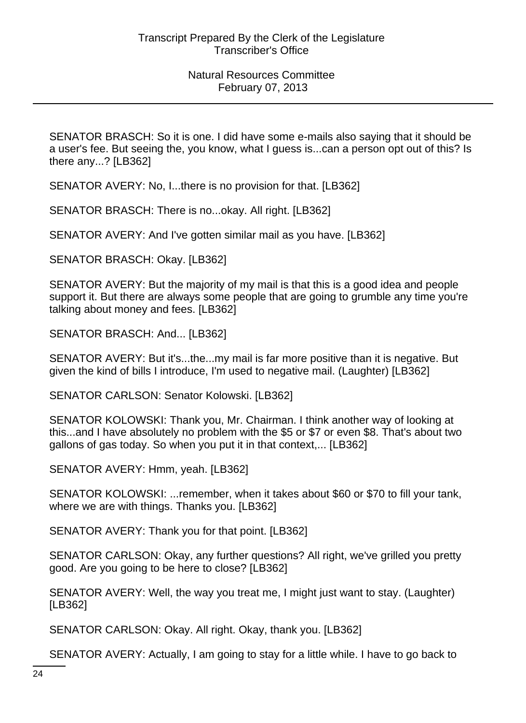SENATOR BRASCH: So it is one. I did have some e-mails also saying that it should be a user's fee. But seeing the, you know, what I guess is...can a person opt out of this? Is there any...? [LB362]

SENATOR AVERY: No, I...there is no provision for that. [LB362]

SENATOR BRASCH: There is no...okay. All right. [LB362]

SENATOR AVERY: And I've gotten similar mail as you have. [LB362]

SENATOR BRASCH: Okay. [LB362]

SENATOR AVERY: But the majority of my mail is that this is a good idea and people support it. But there are always some people that are going to grumble any time you're talking about money and fees. [LB362]

SENATOR BRASCH: And... [LB362]

SENATOR AVERY: But it's...the...my mail is far more positive than it is negative. But given the kind of bills I introduce, I'm used to negative mail. (Laughter) [LB362]

SENATOR CARLSON: Senator Kolowski. [LB362]

SENATOR KOLOWSKI: Thank you, Mr. Chairman. I think another way of looking at this...and I have absolutely no problem with the \$5 or \$7 or even \$8. That's about two gallons of gas today. So when you put it in that context,... [LB362]

SENATOR AVERY: Hmm, yeah. [LB362]

SENATOR KOLOWSKI: ...remember, when it takes about \$60 or \$70 to fill your tank, where we are with things. Thanks you. [LB362]

SENATOR AVERY: Thank you for that point. [LB362]

SENATOR CARLSON: Okay, any further questions? All right, we've grilled you pretty good. Are you going to be here to close? [LB362]

SENATOR AVERY: Well, the way you treat me, I might just want to stay. (Laughter) [LB362]

SENATOR CARLSON: Okay. All right. Okay, thank you. [LB362]

SENATOR AVERY: Actually, I am going to stay for a little while. I have to go back to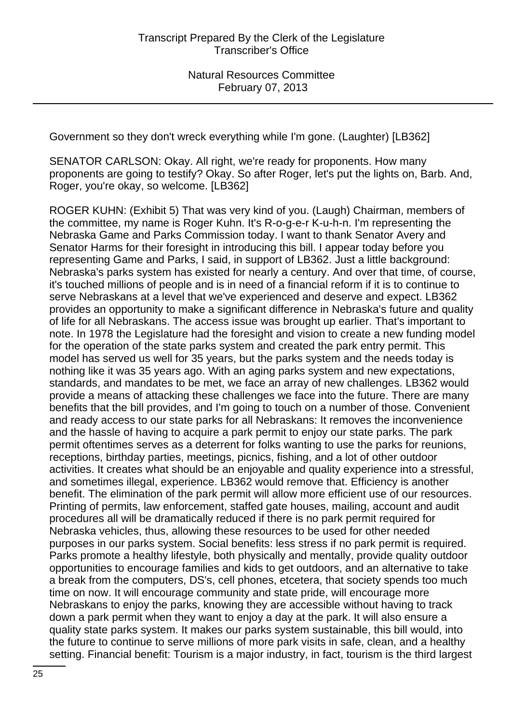Government so they don't wreck everything while I'm gone. (Laughter) [LB362]

SENATOR CARLSON: Okay. All right, we're ready for proponents. How many proponents are going to testify? Okay. So after Roger, let's put the lights on, Barb. And, Roger, you're okay, so welcome. [LB362]

ROGER KUHN: (Exhibit 5) That was very kind of you. (Laugh) Chairman, members of the committee, my name is Roger Kuhn. It's R-o-g-e-r K-u-h-n. I'm representing the Nebraska Game and Parks Commission today. I want to thank Senator Avery and Senator Harms for their foresight in introducing this bill. I appear today before you representing Game and Parks, I said, in support of LB362. Just a little background: Nebraska's parks system has existed for nearly a century. And over that time, of course, it's touched millions of people and is in need of a financial reform if it is to continue to serve Nebraskans at a level that we've experienced and deserve and expect. LB362 provides an opportunity to make a significant difference in Nebraska's future and quality of life for all Nebraskans. The access issue was brought up earlier. That's important to note. In 1978 the Legislature had the foresight and vision to create a new funding model for the operation of the state parks system and created the park entry permit. This model has served us well for 35 years, but the parks system and the needs today is nothing like it was 35 years ago. With an aging parks system and new expectations, standards, and mandates to be met, we face an array of new challenges. LB362 would provide a means of attacking these challenges we face into the future. There are many benefits that the bill provides, and I'm going to touch on a number of those. Convenient and ready access to our state parks for all Nebraskans: It removes the inconvenience and the hassle of having to acquire a park permit to enjoy our state parks. The park permit oftentimes serves as a deterrent for folks wanting to use the parks for reunions, receptions, birthday parties, meetings, picnics, fishing, and a lot of other outdoor activities. It creates what should be an enjoyable and quality experience into a stressful, and sometimes illegal, experience. LB362 would remove that. Efficiency is another benefit. The elimination of the park permit will allow more efficient use of our resources. Printing of permits, law enforcement, staffed gate houses, mailing, account and audit procedures all will be dramatically reduced if there is no park permit required for Nebraska vehicles, thus, allowing these resources to be used for other needed purposes in our parks system. Social benefits: less stress if no park permit is required. Parks promote a healthy lifestyle, both physically and mentally, provide quality outdoor opportunities to encourage families and kids to get outdoors, and an alternative to take a break from the computers, DS's, cell phones, etcetera, that society spends too much time on now. It will encourage community and state pride, will encourage more Nebraskans to enjoy the parks, knowing they are accessible without having to track down a park permit when they want to enjoy a day at the park. It will also ensure a quality state parks system. It makes our parks system sustainable, this bill would, into the future to continue to serve millions of more park visits in safe, clean, and a healthy setting. Financial benefit: Tourism is a major industry, in fact, tourism is the third largest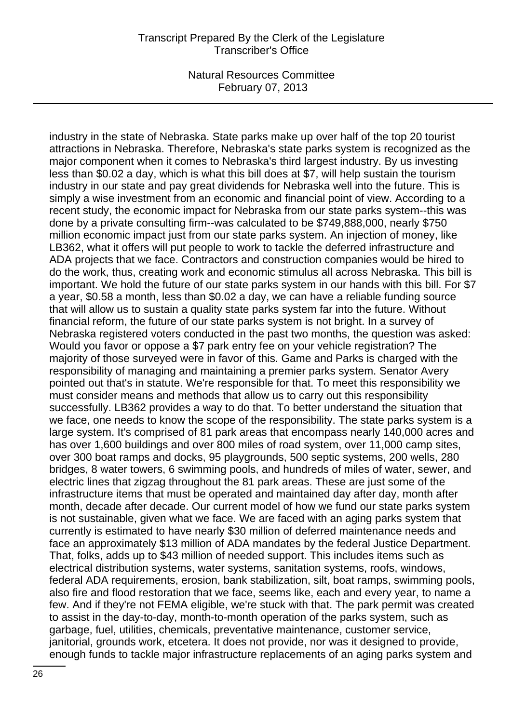industry in the state of Nebraska. State parks make up over half of the top 20 tourist attractions in Nebraska. Therefore, Nebraska's state parks system is recognized as the major component when it comes to Nebraska's third largest industry. By us investing less than \$0.02 a day, which is what this bill does at \$7, will help sustain the tourism industry in our state and pay great dividends for Nebraska well into the future. This is simply a wise investment from an economic and financial point of view. According to a recent study, the economic impact for Nebraska from our state parks system--this was done by a private consulting firm--was calculated to be \$749,888,000, nearly \$750 million economic impact just from our state parks system. An injection of money, like LB362, what it offers will put people to work to tackle the deferred infrastructure and ADA projects that we face. Contractors and construction companies would be hired to do the work, thus, creating work and economic stimulus all across Nebraska. This bill is important. We hold the future of our state parks system in our hands with this bill. For \$7 a year, \$0.58 a month, less than \$0.02 a day, we can have a reliable funding source that will allow us to sustain a quality state parks system far into the future. Without financial reform, the future of our state parks system is not bright. In a survey of Nebraska registered voters conducted in the past two months, the question was asked: Would you favor or oppose a \$7 park entry fee on your vehicle registration? The majority of those surveyed were in favor of this. Game and Parks is charged with the responsibility of managing and maintaining a premier parks system. Senator Avery pointed out that's in statute. We're responsible for that. To meet this responsibility we must consider means and methods that allow us to carry out this responsibility successfully. LB362 provides a way to do that. To better understand the situation that we face, one needs to know the scope of the responsibility. The state parks system is a large system. It's comprised of 81 park areas that encompass nearly 140,000 acres and has over 1,600 buildings and over 800 miles of road system, over 11,000 camp sites, over 300 boat ramps and docks, 95 playgrounds, 500 septic systems, 200 wells, 280 bridges, 8 water towers, 6 swimming pools, and hundreds of miles of water, sewer, and electric lines that zigzag throughout the 81 park areas. These are just some of the infrastructure items that must be operated and maintained day after day, month after month, decade after decade. Our current model of how we fund our state parks system is not sustainable, given what we face. We are faced with an aging parks system that currently is estimated to have nearly \$30 million of deferred maintenance needs and face an approximately \$13 million of ADA mandates by the federal Justice Department. That, folks, adds up to \$43 million of needed support. This includes items such as electrical distribution systems, water systems, sanitation systems, roofs, windows, federal ADA requirements, erosion, bank stabilization, silt, boat ramps, swimming pools, also fire and flood restoration that we face, seems like, each and every year, to name a few. And if they're not FEMA eligible, we're stuck with that. The park permit was created to assist in the day-to-day, month-to-month operation of the parks system, such as garbage, fuel, utilities, chemicals, preventative maintenance, customer service, janitorial, grounds work, etcetera. It does not provide, nor was it designed to provide, enough funds to tackle major infrastructure replacements of an aging parks system and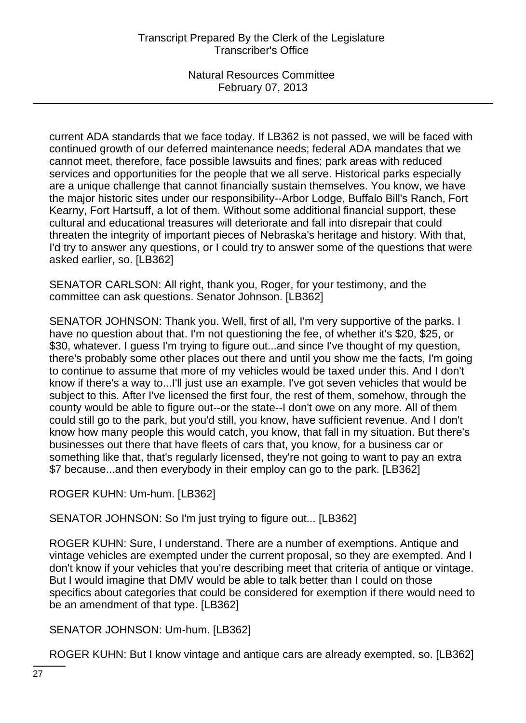current ADA standards that we face today. If LB362 is not passed, we will be faced with continued growth of our deferred maintenance needs; federal ADA mandates that we cannot meet, therefore, face possible lawsuits and fines; park areas with reduced services and opportunities for the people that we all serve. Historical parks especially are a unique challenge that cannot financially sustain themselves. You know, we have the major historic sites under our responsibility--Arbor Lodge, Buffalo Bill's Ranch, Fort Kearny, Fort Hartsuff, a lot of them. Without some additional financial support, these cultural and educational treasures will deteriorate and fall into disrepair that could threaten the integrity of important pieces of Nebraska's heritage and history. With that, I'd try to answer any questions, or I could try to answer some of the questions that were asked earlier, so. [LB362]

SENATOR CARLSON: All right, thank you, Roger, for your testimony, and the committee can ask questions. Senator Johnson. [LB362]

SENATOR JOHNSON: Thank you. Well, first of all, I'm very supportive of the parks. I have no question about that. I'm not questioning the fee, of whether it's \$20, \$25, or \$30, whatever. I guess I'm trying to figure out...and since I've thought of my question, there's probably some other places out there and until you show me the facts, I'm going to continue to assume that more of my vehicles would be taxed under this. And I don't know if there's a way to...I'll just use an example. I've got seven vehicles that would be subject to this. After I've licensed the first four, the rest of them, somehow, through the county would be able to figure out--or the state--I don't owe on any more. All of them could still go to the park, but you'd still, you know, have sufficient revenue. And I don't know how many people this would catch, you know, that fall in my situation. But there's businesses out there that have fleets of cars that, you know, for a business car or something like that, that's regularly licensed, they're not going to want to pay an extra \$7 because...and then everybody in their employ can go to the park. [LB362]

ROGER KUHN: Um-hum. [LB362]

SENATOR JOHNSON: So I'm just trying to figure out... [LB362]

ROGER KUHN: Sure, I understand. There are a number of exemptions. Antique and vintage vehicles are exempted under the current proposal, so they are exempted. And I don't know if your vehicles that you're describing meet that criteria of antique or vintage. But I would imagine that DMV would be able to talk better than I could on those specifics about categories that could be considered for exemption if there would need to be an amendment of that type. [LB362]

SENATOR JOHNSON: Um-hum. [LB362]

ROGER KUHN: But I know vintage and antique cars are already exempted, so. [LB362]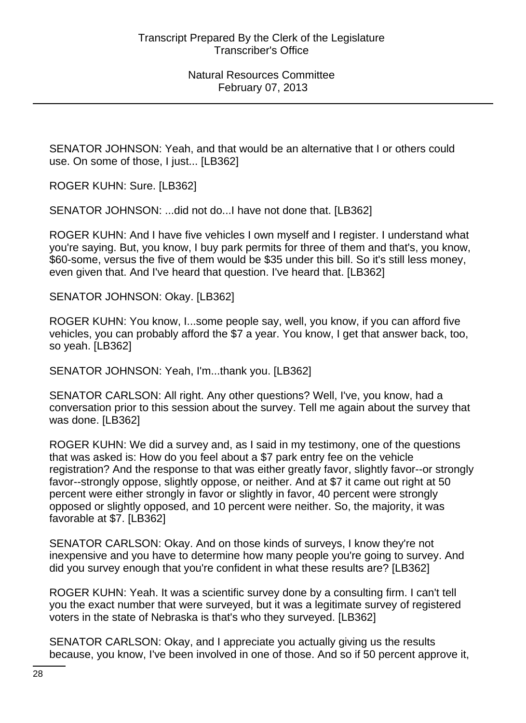SENATOR JOHNSON: Yeah, and that would be an alternative that I or others could use. On some of those, I just... [LB362]

ROGER KUHN: Sure. [LB362]

SENATOR JOHNSON: ...did not do...I have not done that. [LB362]

ROGER KUHN: And I have five vehicles I own myself and I register. I understand what you're saying. But, you know, I buy park permits for three of them and that's, you know, \$60-some, versus the five of them would be \$35 under this bill. So it's still less money, even given that. And I've heard that question. I've heard that. [LB362]

SENATOR JOHNSON: Okay. [LB362]

ROGER KUHN: You know, I...some people say, well, you know, if you can afford five vehicles, you can probably afford the \$7 a year. You know, I get that answer back, too, so yeah. [LB362]

SENATOR JOHNSON: Yeah, I'm...thank you. [LB362]

SENATOR CARLSON: All right. Any other questions? Well, I've, you know, had a conversation prior to this session about the survey. Tell me again about the survey that was done. [LB362]

ROGER KUHN: We did a survey and, as I said in my testimony, one of the questions that was asked is: How do you feel about a \$7 park entry fee on the vehicle registration? And the response to that was either greatly favor, slightly favor--or strongly favor--strongly oppose, slightly oppose, or neither. And at \$7 it came out right at 50 percent were either strongly in favor or slightly in favor, 40 percent were strongly opposed or slightly opposed, and 10 percent were neither. So, the majority, it was favorable at \$7. [LB362]

SENATOR CARLSON: Okay. And on those kinds of surveys, I know they're not inexpensive and you have to determine how many people you're going to survey. And did you survey enough that you're confident in what these results are? [LB362]

ROGER KUHN: Yeah. It was a scientific survey done by a consulting firm. I can't tell you the exact number that were surveyed, but it was a legitimate survey of registered voters in the state of Nebraska is that's who they surveyed. [LB362]

SENATOR CARLSON: Okay, and I appreciate you actually giving us the results because, you know, I've been involved in one of those. And so if 50 percent approve it,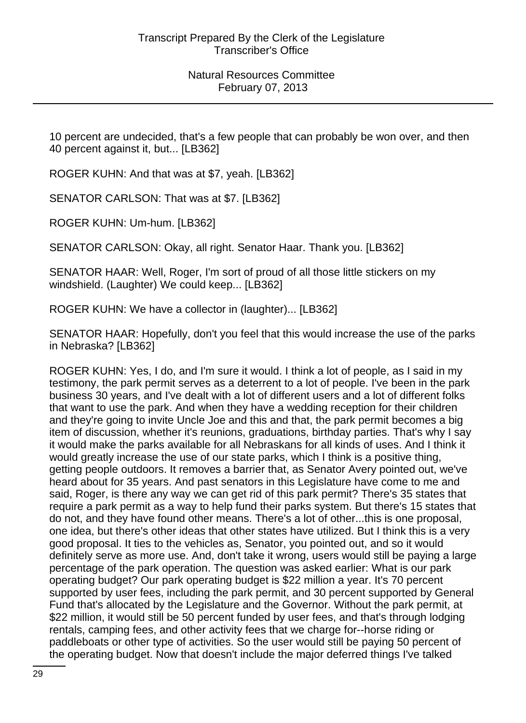10 percent are undecided, that's a few people that can probably be won over, and then 40 percent against it, but... [LB362]

ROGER KUHN: And that was at \$7, yeah. [LB362]

SENATOR CARLSON: That was at \$7. [LB362]

ROGER KUHN: Um-hum. [LB362]

SENATOR CARLSON: Okay, all right. Senator Haar. Thank you. [LB362]

SENATOR HAAR: Well, Roger, I'm sort of proud of all those little stickers on my windshield. (Laughter) We could keep... [LB362]

ROGER KUHN: We have a collector in (laughter)... [LB362]

SENATOR HAAR: Hopefully, don't you feel that this would increase the use of the parks in Nebraska? [LB362]

ROGER KUHN: Yes, I do, and I'm sure it would. I think a lot of people, as I said in my testimony, the park permit serves as a deterrent to a lot of people. I've been in the park business 30 years, and I've dealt with a lot of different users and a lot of different folks that want to use the park. And when they have a wedding reception for their children and they're going to invite Uncle Joe and this and that, the park permit becomes a big item of discussion, whether it's reunions, graduations, birthday parties. That's why I say it would make the parks available for all Nebraskans for all kinds of uses. And I think it would greatly increase the use of our state parks, which I think is a positive thing, getting people outdoors. It removes a barrier that, as Senator Avery pointed out, we've heard about for 35 years. And past senators in this Legislature have come to me and said, Roger, is there any way we can get rid of this park permit? There's 35 states that require a park permit as a way to help fund their parks system. But there's 15 states that do not, and they have found other means. There's a lot of other...this is one proposal, one idea, but there's other ideas that other states have utilized. But I think this is a very good proposal. It ties to the vehicles as, Senator, you pointed out, and so it would definitely serve as more use. And, don't take it wrong, users would still be paying a large percentage of the park operation. The question was asked earlier: What is our park operating budget? Our park operating budget is \$22 million a year. It's 70 percent supported by user fees, including the park permit, and 30 percent supported by General Fund that's allocated by the Legislature and the Governor. Without the park permit, at \$22 million, it would still be 50 percent funded by user fees, and that's through lodging rentals, camping fees, and other activity fees that we charge for--horse riding or paddleboats or other type of activities. So the user would still be paying 50 percent of the operating budget. Now that doesn't include the major deferred things I've talked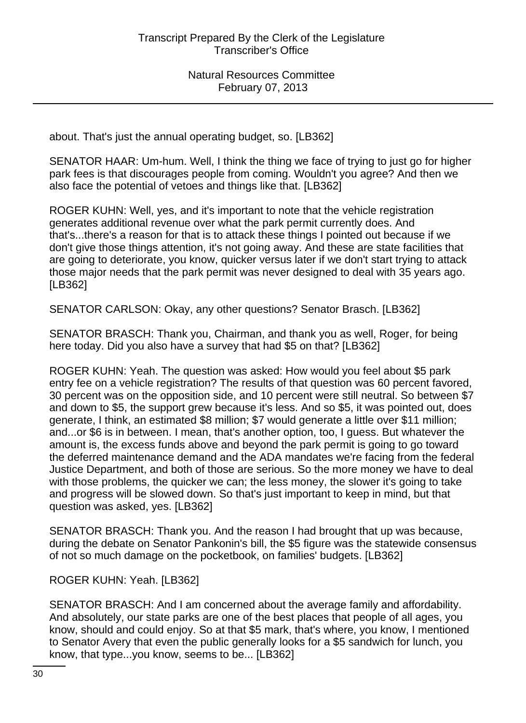about. That's just the annual operating budget, so. [LB362]

SENATOR HAAR: Um-hum. Well, I think the thing we face of trying to just go for higher park fees is that discourages people from coming. Wouldn't you agree? And then we also face the potential of vetoes and things like that. [LB362]

ROGER KUHN: Well, yes, and it's important to note that the vehicle registration generates additional revenue over what the park permit currently does. And that's...there's a reason for that is to attack these things I pointed out because if we don't give those things attention, it's not going away. And these are state facilities that are going to deteriorate, you know, quicker versus later if we don't start trying to attack those major needs that the park permit was never designed to deal with 35 years ago. [LB362]

SENATOR CARLSON: Okay, any other questions? Senator Brasch. [LB362]

SENATOR BRASCH: Thank you, Chairman, and thank you as well, Roger, for being here today. Did you also have a survey that had \$5 on that? [LB362]

ROGER KUHN: Yeah. The question was asked: How would you feel about \$5 park entry fee on a vehicle registration? The results of that question was 60 percent favored, 30 percent was on the opposition side, and 10 percent were still neutral. So between \$7 and down to \$5, the support grew because it's less. And so \$5, it was pointed out, does generate, I think, an estimated \$8 million; \$7 would generate a little over \$11 million; and...or \$6 is in between. I mean, that's another option, too, I guess. But whatever the amount is, the excess funds above and beyond the park permit is going to go toward the deferred maintenance demand and the ADA mandates we're facing from the federal Justice Department, and both of those are serious. So the more money we have to deal with those problems, the quicker we can; the less money, the slower it's going to take and progress will be slowed down. So that's just important to keep in mind, but that question was asked, yes. [LB362]

SENATOR BRASCH: Thank you. And the reason I had brought that up was because, during the debate on Senator Pankonin's bill, the \$5 figure was the statewide consensus of not so much damage on the pocketbook, on families' budgets. [LB362]

ROGER KUHN: Yeah. [LB362]

SENATOR BRASCH: And I am concerned about the average family and affordability. And absolutely, our state parks are one of the best places that people of all ages, you know, should and could enjoy. So at that \$5 mark, that's where, you know, I mentioned to Senator Avery that even the public generally looks for a \$5 sandwich for lunch, you know, that type...you know, seems to be... [LB362]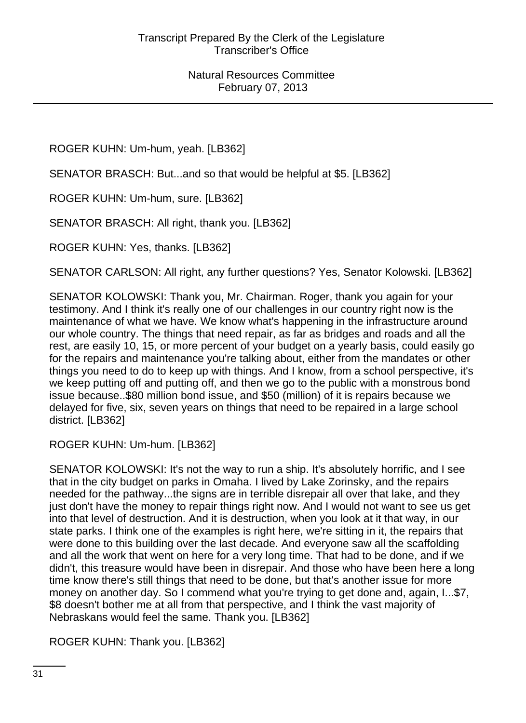ROGER KUHN: Um-hum, yeah. [LB362]

SENATOR BRASCH: But...and so that would be helpful at \$5. [LB362]

ROGER KUHN: Um-hum, sure. [LB362]

SENATOR BRASCH: All right, thank you. [LB362]

ROGER KUHN: Yes, thanks. [LB362]

SENATOR CARLSON: All right, any further questions? Yes, Senator Kolowski. [LB362]

SENATOR KOLOWSKI: Thank you, Mr. Chairman. Roger, thank you again for your testimony. And I think it's really one of our challenges in our country right now is the maintenance of what we have. We know what's happening in the infrastructure around our whole country. The things that need repair, as far as bridges and roads and all the rest, are easily 10, 15, or more percent of your budget on a yearly basis, could easily go for the repairs and maintenance you're talking about, either from the mandates or other things you need to do to keep up with things. And I know, from a school perspective, it's we keep putting off and putting off, and then we go to the public with a monstrous bond issue because..\$80 million bond issue, and \$50 (million) of it is repairs because we delayed for five, six, seven years on things that need to be repaired in a large school district. [LB362]

ROGER KUHN: Um-hum. [LB362]

SENATOR KOLOWSKI: It's not the way to run a ship. It's absolutely horrific, and I see that in the city budget on parks in Omaha. I lived by Lake Zorinsky, and the repairs needed for the pathway...the signs are in terrible disrepair all over that lake, and they just don't have the money to repair things right now. And I would not want to see us get into that level of destruction. And it is destruction, when you look at it that way, in our state parks. I think one of the examples is right here, we're sitting in it, the repairs that were done to this building over the last decade. And everyone saw all the scaffolding and all the work that went on here for a very long time. That had to be done, and if we didn't, this treasure would have been in disrepair. And those who have been here a long time know there's still things that need to be done, but that's another issue for more money on another day. So I commend what you're trying to get done and, again, I...\$7, \$8 doesn't bother me at all from that perspective, and I think the vast majority of Nebraskans would feel the same. Thank you. [LB362]

ROGER KUHN: Thank you. [LB362]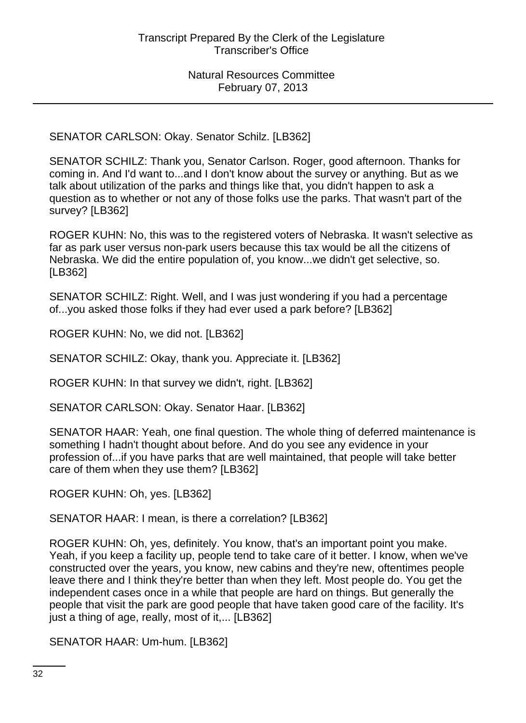SENATOR CARLSON: Okay. Senator Schilz. [LB362]

SENATOR SCHILZ: Thank you, Senator Carlson. Roger, good afternoon. Thanks for coming in. And I'd want to...and I don't know about the survey or anything. But as we talk about utilization of the parks and things like that, you didn't happen to ask a question as to whether or not any of those folks use the parks. That wasn't part of the survey? [LB362]

ROGER KUHN: No, this was to the registered voters of Nebraska. It wasn't selective as far as park user versus non-park users because this tax would be all the citizens of Nebraska. We did the entire population of, you know...we didn't get selective, so. [LB362]

SENATOR SCHILZ: Right. Well, and I was just wondering if you had a percentage of...you asked those folks if they had ever used a park before? [LB362]

ROGER KUHN: No, we did not. [LB362]

SENATOR SCHILZ: Okay, thank you. Appreciate it. [LB362]

ROGER KUHN: In that survey we didn't, right. [LB362]

SENATOR CARLSON: Okay. Senator Haar. [LB362]

SENATOR HAAR: Yeah, one final question. The whole thing of deferred maintenance is something I hadn't thought about before. And do you see any evidence in your profession of...if you have parks that are well maintained, that people will take better care of them when they use them? [LB362]

ROGER KUHN: Oh, yes. [LB362]

SENATOR HAAR: I mean, is there a correlation? [LB362]

ROGER KUHN: Oh, yes, definitely. You know, that's an important point you make. Yeah, if you keep a facility up, people tend to take care of it better. I know, when we've constructed over the years, you know, new cabins and they're new, oftentimes people leave there and I think they're better than when they left. Most people do. You get the independent cases once in a while that people are hard on things. But generally the people that visit the park are good people that have taken good care of the facility. It's just a thing of age, really, most of it,... [LB362]

SENATOR HAAR: Um-hum. [LB362]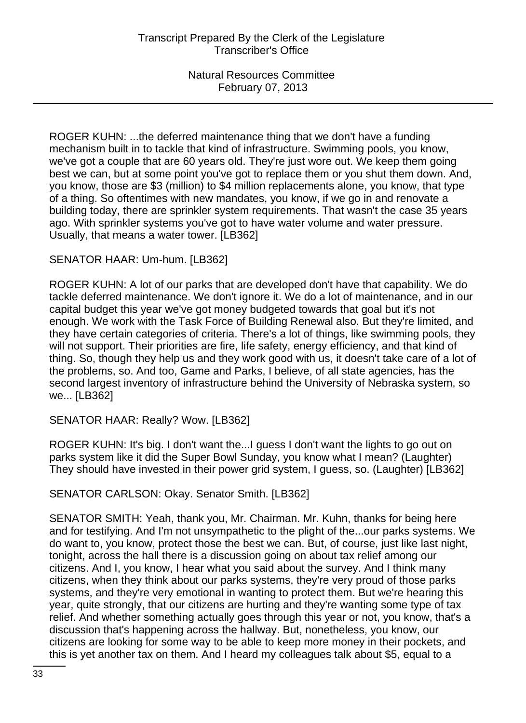ROGER KUHN: ...the deferred maintenance thing that we don't have a funding mechanism built in to tackle that kind of infrastructure. Swimming pools, you know, we've got a couple that are 60 years old. They're just wore out. We keep them going best we can, but at some point you've got to replace them or you shut them down. And, you know, those are \$3 (million) to \$4 million replacements alone, you know, that type of a thing. So oftentimes with new mandates, you know, if we go in and renovate a building today, there are sprinkler system requirements. That wasn't the case 35 years ago. With sprinkler systems you've got to have water volume and water pressure. Usually, that means a water tower. [LB362]

# SENATOR HAAR: Um-hum. [LB362]

ROGER KUHN: A lot of our parks that are developed don't have that capability. We do tackle deferred maintenance. We don't ignore it. We do a lot of maintenance, and in our capital budget this year we've got money budgeted towards that goal but it's not enough. We work with the Task Force of Building Renewal also. But they're limited, and they have certain categories of criteria. There's a lot of things, like swimming pools, they will not support. Their priorities are fire, life safety, energy efficiency, and that kind of thing. So, though they help us and they work good with us, it doesn't take care of a lot of the problems, so. And too, Game and Parks, I believe, of all state agencies, has the second largest inventory of infrastructure behind the University of Nebraska system, so we... [LB362]

#### SENATOR HAAR: Really? Wow. [LB362]

ROGER KUHN: It's big. I don't want the...I guess I don't want the lights to go out on parks system like it did the Super Bowl Sunday, you know what I mean? (Laughter) They should have invested in their power grid system, I guess, so. (Laughter) [LB362]

SENATOR CARLSON: Okay. Senator Smith. [LB362]

SENATOR SMITH: Yeah, thank you, Mr. Chairman. Mr. Kuhn, thanks for being here and for testifying. And I'm not unsympathetic to the plight of the...our parks systems. We do want to, you know, protect those the best we can. But, of course, just like last night, tonight, across the hall there is a discussion going on about tax relief among our citizens. And I, you know, I hear what you said about the survey. And I think many citizens, when they think about our parks systems, they're very proud of those parks systems, and they're very emotional in wanting to protect them. But we're hearing this year, quite strongly, that our citizens are hurting and they're wanting some type of tax relief. And whether something actually goes through this year or not, you know, that's a discussion that's happening across the hallway. But, nonetheless, you know, our citizens are looking for some way to be able to keep more money in their pockets, and this is yet another tax on them. And I heard my colleagues talk about \$5, equal to a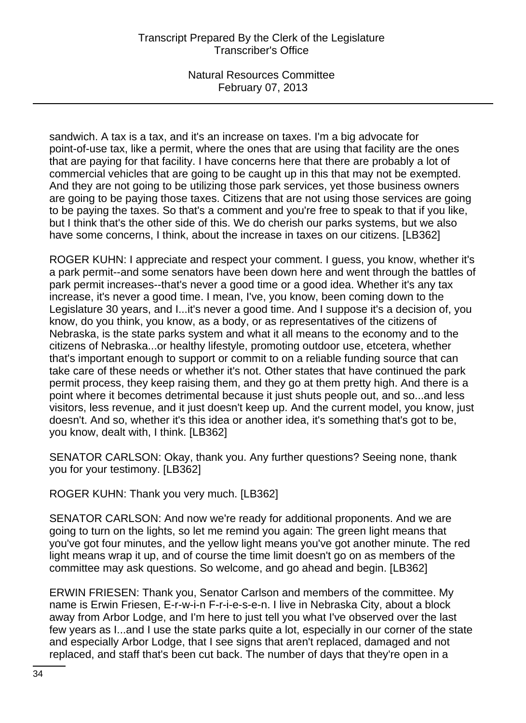sandwich. A tax is a tax, and it's an increase on taxes. I'm a big advocate for point-of-use tax, like a permit, where the ones that are using that facility are the ones that are paying for that facility. I have concerns here that there are probably a lot of commercial vehicles that are going to be caught up in this that may not be exempted. And they are not going to be utilizing those park services, yet those business owners are going to be paying those taxes. Citizens that are not using those services are going to be paying the taxes. So that's a comment and you're free to speak to that if you like, but I think that's the other side of this. We do cherish our parks systems, but we also have some concerns, I think, about the increase in taxes on our citizens. [LB362]

ROGER KUHN: I appreciate and respect your comment. I guess, you know, whether it's a park permit--and some senators have been down here and went through the battles of park permit increases--that's never a good time or a good idea. Whether it's any tax increase, it's never a good time. I mean, I've, you know, been coming down to the Legislature 30 years, and I...it's never a good time. And I suppose it's a decision of, you know, do you think, you know, as a body, or as representatives of the citizens of Nebraska, is the state parks system and what it all means to the economy and to the citizens of Nebraska...or healthy lifestyle, promoting outdoor use, etcetera, whether that's important enough to support or commit to on a reliable funding source that can take care of these needs or whether it's not. Other states that have continued the park permit process, they keep raising them, and they go at them pretty high. And there is a point where it becomes detrimental because it just shuts people out, and so...and less visitors, less revenue, and it just doesn't keep up. And the current model, you know, just doesn't. And so, whether it's this idea or another idea, it's something that's got to be, you know, dealt with, I think. [LB362]

SENATOR CARLSON: Okay, thank you. Any further questions? Seeing none, thank you for your testimony. [LB362]

ROGER KUHN: Thank you very much. [LB362]

SENATOR CARLSON: And now we're ready for additional proponents. And we are going to turn on the lights, so let me remind you again: The green light means that you've got four minutes, and the yellow light means you've got another minute. The red light means wrap it up, and of course the time limit doesn't go on as members of the committee may ask questions. So welcome, and go ahead and begin. [LB362]

ERWIN FRIESEN: Thank you, Senator Carlson and members of the committee. My name is Erwin Friesen, E-r-w-i-n F-r-i-e-s-e-n. I live in Nebraska City, about a block away from Arbor Lodge, and I'm here to just tell you what I've observed over the last few years as I...and I use the state parks quite a lot, especially in our corner of the state and especially Arbor Lodge, that I see signs that aren't replaced, damaged and not replaced, and staff that's been cut back. The number of days that they're open in a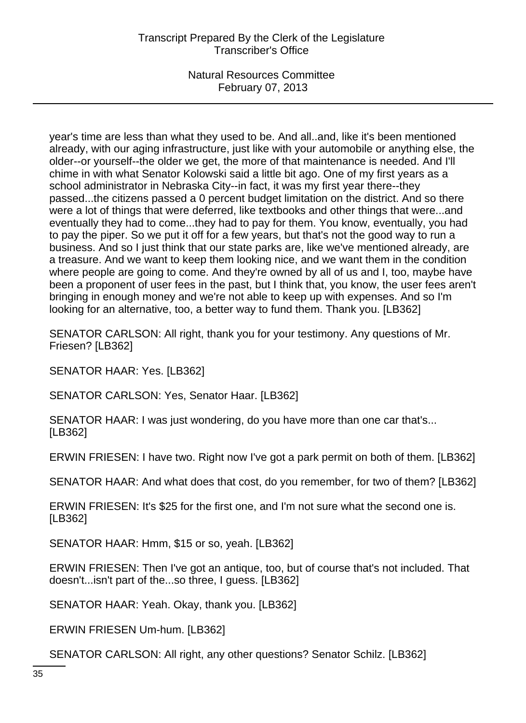year's time are less than what they used to be. And all..and, like it's been mentioned already, with our aging infrastructure, just like with your automobile or anything else, the older--or yourself--the older we get, the more of that maintenance is needed. And I'll chime in with what Senator Kolowski said a little bit ago. One of my first years as a school administrator in Nebraska City--in fact, it was my first year there--they passed...the citizens passed a 0 percent budget limitation on the district. And so there were a lot of things that were deferred, like textbooks and other things that were...and eventually they had to come...they had to pay for them. You know, eventually, you had to pay the piper. So we put it off for a few years, but that's not the good way to run a business. And so I just think that our state parks are, like we've mentioned already, are a treasure. And we want to keep them looking nice, and we want them in the condition where people are going to come. And they're owned by all of us and I, too, maybe have been a proponent of user fees in the past, but I think that, you know, the user fees aren't bringing in enough money and we're not able to keep up with expenses. And so I'm looking for an alternative, too, a better way to fund them. Thank you. [LB362]

SENATOR CARLSON: All right, thank you for your testimony. Any questions of Mr. Friesen? [LB362]

SENATOR HAAR: Yes. [LB362]

SENATOR CARLSON: Yes, Senator Haar. [LB362]

SENATOR HAAR: I was just wondering, do you have more than one car that's... [LB362]

ERWIN FRIESEN: I have two. Right now I've got a park permit on both of them. [LB362]

SENATOR HAAR: And what does that cost, do you remember, for two of them? [LB362]

ERWIN FRIESEN: It's \$25 for the first one, and I'm not sure what the second one is. [LB362]

SENATOR HAAR: Hmm, \$15 or so, yeah. [LB362]

ERWIN FRIESEN: Then I've got an antique, too, but of course that's not included. That doesn't...isn't part of the...so three, I guess. [LB362]

SENATOR HAAR: Yeah. Okay, thank you. [LB362]

ERWIN FRIESEN Um-hum. [LB362]

SENATOR CARLSON: All right, any other questions? Senator Schilz. [LB362]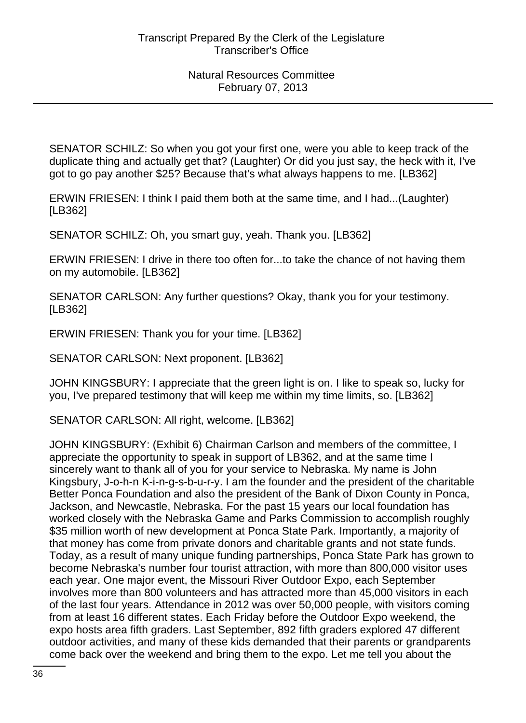SENATOR SCHILZ: So when you got your first one, were you able to keep track of the duplicate thing and actually get that? (Laughter) Or did you just say, the heck with it, I've got to go pay another \$25? Because that's what always happens to me. [LB362]

ERWIN FRIESEN: I think I paid them both at the same time, and I had...(Laughter) [LB362]

SENATOR SCHILZ: Oh, you smart guy, yeah. Thank you. [LB362]

ERWIN FRIESEN: I drive in there too often for...to take the chance of not having them on my automobile. [LB362]

SENATOR CARLSON: Any further questions? Okay, thank you for your testimony. [LB362]

ERWIN FRIESEN: Thank you for your time. [LB362]

SENATOR CARLSON: Next proponent. [LB362]

JOHN KINGSBURY: I appreciate that the green light is on. I like to speak so, lucky for you, I've prepared testimony that will keep me within my time limits, so. [LB362]

SENATOR CARLSON: All right, welcome. [LB362]

JOHN KINGSBURY: (Exhibit 6) Chairman Carlson and members of the committee, I appreciate the opportunity to speak in support of LB362, and at the same time I sincerely want to thank all of you for your service to Nebraska. My name is John Kingsbury, J-o-h-n K-i-n-g-s-b-u-r-y. I am the founder and the president of the charitable Better Ponca Foundation and also the president of the Bank of Dixon County in Ponca, Jackson, and Newcastle, Nebraska. For the past 15 years our local foundation has worked closely with the Nebraska Game and Parks Commission to accomplish roughly \$35 million worth of new development at Ponca State Park. Importantly, a majority of that money has come from private donors and charitable grants and not state funds. Today, as a result of many unique funding partnerships, Ponca State Park has grown to become Nebraska's number four tourist attraction, with more than 800,000 visitor uses each year. One major event, the Missouri River Outdoor Expo, each September involves more than 800 volunteers and has attracted more than 45,000 visitors in each of the last four years. Attendance in 2012 was over 50,000 people, with visitors coming from at least 16 different states. Each Friday before the Outdoor Expo weekend, the expo hosts area fifth graders. Last September, 892 fifth graders explored 47 different outdoor activities, and many of these kids demanded that their parents or grandparents come back over the weekend and bring them to the expo. Let me tell you about the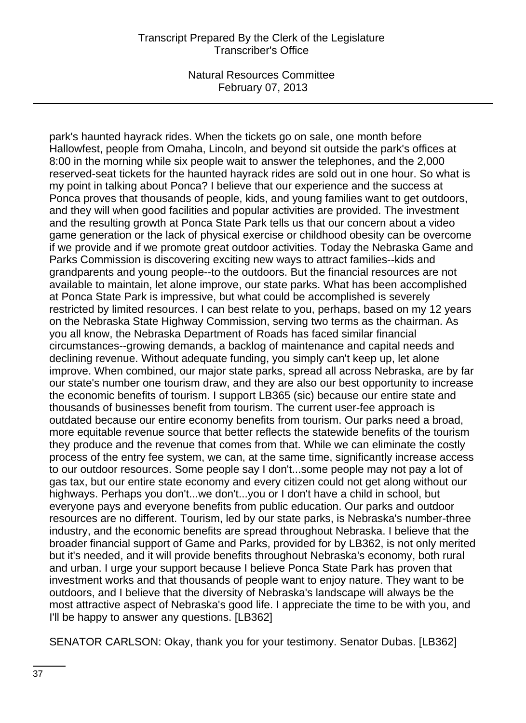park's haunted hayrack rides. When the tickets go on sale, one month before Hallowfest, people from Omaha, Lincoln, and beyond sit outside the park's offices at 8:00 in the morning while six people wait to answer the telephones, and the 2,000 reserved-seat tickets for the haunted hayrack rides are sold out in one hour. So what is my point in talking about Ponca? I believe that our experience and the success at Ponca proves that thousands of people, kids, and young families want to get outdoors, and they will when good facilities and popular activities are provided. The investment and the resulting growth at Ponca State Park tells us that our concern about a video game generation or the lack of physical exercise or childhood obesity can be overcome if we provide and if we promote great outdoor activities. Today the Nebraska Game and Parks Commission is discovering exciting new ways to attract families--kids and grandparents and young people--to the outdoors. But the financial resources are not available to maintain, let alone improve, our state parks. What has been accomplished at Ponca State Park is impressive, but what could be accomplished is severely restricted by limited resources. I can best relate to you, perhaps, based on my 12 years on the Nebraska State Highway Commission, serving two terms as the chairman. As you all know, the Nebraska Department of Roads has faced similar financial circumstances--growing demands, a backlog of maintenance and capital needs and declining revenue. Without adequate funding, you simply can't keep up, let alone improve. When combined, our major state parks, spread all across Nebraska, are by far our state's number one tourism draw, and they are also our best opportunity to increase the economic benefits of tourism. I support LB365 (sic) because our entire state and thousands of businesses benefit from tourism. The current user-fee approach is outdated because our entire economy benefits from tourism. Our parks need a broad, more equitable revenue source that better reflects the statewide benefits of the tourism they produce and the revenue that comes from that. While we can eliminate the costly process of the entry fee system, we can, at the same time, significantly increase access to our outdoor resources. Some people say I don't...some people may not pay a lot of gas tax, but our entire state economy and every citizen could not get along without our highways. Perhaps you don't...we don't...you or I don't have a child in school, but everyone pays and everyone benefits from public education. Our parks and outdoor resources are no different. Tourism, led by our state parks, is Nebraska's number-three industry, and the economic benefits are spread throughout Nebraska. I believe that the broader financial support of Game and Parks, provided for by LB362, is not only merited but it's needed, and it will provide benefits throughout Nebraska's economy, both rural and urban. I urge your support because I believe Ponca State Park has proven that investment works and that thousands of people want to enjoy nature. They want to be outdoors, and I believe that the diversity of Nebraska's landscape will always be the most attractive aspect of Nebraska's good life. I appreciate the time to be with you, and I'll be happy to answer any questions. [LB362]

SENATOR CARLSON: Okay, thank you for your testimony. Senator Dubas. [LB362]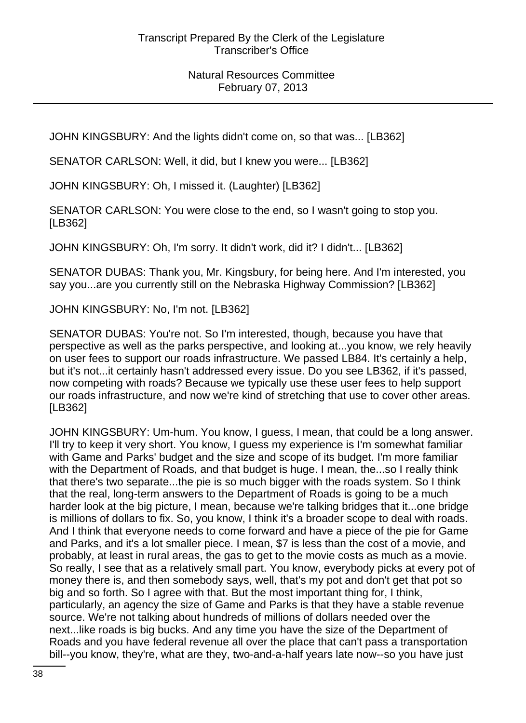JOHN KINGSBURY: And the lights didn't come on, so that was... [LB362]

SENATOR CARLSON: Well, it did, but I knew you were... [LB362]

JOHN KINGSBURY: Oh, I missed it. (Laughter) [LB362]

SENATOR CARLSON: You were close to the end, so I wasn't going to stop you. [LB362]

JOHN KINGSBURY: Oh, I'm sorry. It didn't work, did it? I didn't... [LB362]

SENATOR DUBAS: Thank you, Mr. Kingsbury, for being here. And I'm interested, you say you...are you currently still on the Nebraska Highway Commission? [LB362]

JOHN KINGSBURY: No, I'm not. [LB362]

SENATOR DUBAS: You're not. So I'm interested, though, because you have that perspective as well as the parks perspective, and looking at...you know, we rely heavily on user fees to support our roads infrastructure. We passed LB84. It's certainly a help, but it's not...it certainly hasn't addressed every issue. Do you see LB362, if it's passed, now competing with roads? Because we typically use these user fees to help support our roads infrastructure, and now we're kind of stretching that use to cover other areas. [LB362]

JOHN KINGSBURY: Um-hum. You know, I guess, I mean, that could be a long answer. I'll try to keep it very short. You know, I guess my experience is I'm somewhat familiar with Game and Parks' budget and the size and scope of its budget. I'm more familiar with the Department of Roads, and that budget is huge. I mean, the...so I really think that there's two separate...the pie is so much bigger with the roads system. So I think that the real, long-term answers to the Department of Roads is going to be a much harder look at the big picture, I mean, because we're talking bridges that it...one bridge is millions of dollars to fix. So, you know, I think it's a broader scope to deal with roads. And I think that everyone needs to come forward and have a piece of the pie for Game and Parks, and it's a lot smaller piece. I mean, \$7 is less than the cost of a movie, and probably, at least in rural areas, the gas to get to the movie costs as much as a movie. So really, I see that as a relatively small part. You know, everybody picks at every pot of money there is, and then somebody says, well, that's my pot and don't get that pot so big and so forth. So I agree with that. But the most important thing for, I think, particularly, an agency the size of Game and Parks is that they have a stable revenue source. We're not talking about hundreds of millions of dollars needed over the next...like roads is big bucks. And any time you have the size of the Department of Roads and you have federal revenue all over the place that can't pass a transportation bill--you know, they're, what are they, two-and-a-half years late now--so you have just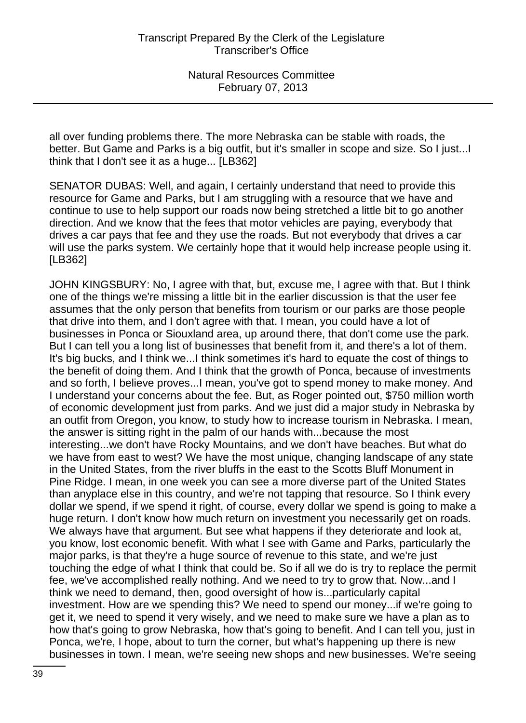all over funding problems there. The more Nebraska can be stable with roads, the better. But Game and Parks is a big outfit, but it's smaller in scope and size. So I just...I think that I don't see it as a huge... [LB362]

SENATOR DUBAS: Well, and again, I certainly understand that need to provide this resource for Game and Parks, but I am struggling with a resource that we have and continue to use to help support our roads now being stretched a little bit to go another direction. And we know that the fees that motor vehicles are paying, everybody that drives a car pays that fee and they use the roads. But not everybody that drives a car will use the parks system. We certainly hope that it would help increase people using it. [LB362]

JOHN KINGSBURY: No, I agree with that, but, excuse me, I agree with that. But I think one of the things we're missing a little bit in the earlier discussion is that the user fee assumes that the only person that benefits from tourism or our parks are those people that drive into them, and I don't agree with that. I mean, you could have a lot of businesses in Ponca or Siouxland area, up around there, that don't come use the park. But I can tell you a long list of businesses that benefit from it, and there's a lot of them. It's big bucks, and I think we...I think sometimes it's hard to equate the cost of things to the benefit of doing them. And I think that the growth of Ponca, because of investments and so forth, I believe proves...I mean, you've got to spend money to make money. And I understand your concerns about the fee. But, as Roger pointed out, \$750 million worth of economic development just from parks. And we just did a major study in Nebraska by an outfit from Oregon, you know, to study how to increase tourism in Nebraska. I mean, the answer is sitting right in the palm of our hands with...because the most interesting...we don't have Rocky Mountains, and we don't have beaches. But what do we have from east to west? We have the most unique, changing landscape of any state in the United States, from the river bluffs in the east to the Scotts Bluff Monument in Pine Ridge. I mean, in one week you can see a more diverse part of the United States than anyplace else in this country, and we're not tapping that resource. So I think every dollar we spend, if we spend it right, of course, every dollar we spend is going to make a huge return. I don't know how much return on investment you necessarily get on roads. We always have that argument. But see what happens if they deteriorate and look at, you know, lost economic benefit. With what I see with Game and Parks, particularly the major parks, is that they're a huge source of revenue to this state, and we're just touching the edge of what I think that could be. So if all we do is try to replace the permit fee, we've accomplished really nothing. And we need to try to grow that. Now...and I think we need to demand, then, good oversight of how is...particularly capital investment. How are we spending this? We need to spend our money...if we're going to get it, we need to spend it very wisely, and we need to make sure we have a plan as to how that's going to grow Nebraska, how that's going to benefit. And I can tell you, just in Ponca, we're, I hope, about to turn the corner, but what's happening up there is new businesses in town. I mean, we're seeing new shops and new businesses. We're seeing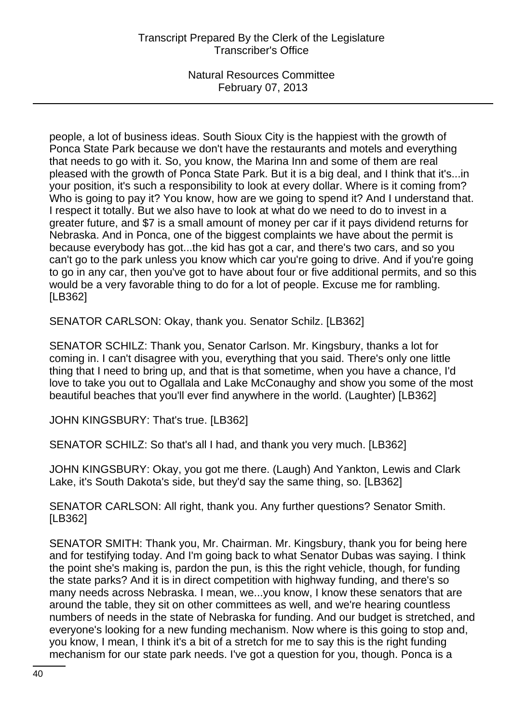people, a lot of business ideas. South Sioux City is the happiest with the growth of Ponca State Park because we don't have the restaurants and motels and everything that needs to go with it. So, you know, the Marina Inn and some of them are real pleased with the growth of Ponca State Park. But it is a big deal, and I think that it's...in your position, it's such a responsibility to look at every dollar. Where is it coming from? Who is going to pay it? You know, how are we going to spend it? And I understand that. I respect it totally. But we also have to look at what do we need to do to invest in a greater future, and \$7 is a small amount of money per car if it pays dividend returns for Nebraska. And in Ponca, one of the biggest complaints we have about the permit is because everybody has got...the kid has got a car, and there's two cars, and so you can't go to the park unless you know which car you're going to drive. And if you're going to go in any car, then you've got to have about four or five additional permits, and so this would be a very favorable thing to do for a lot of people. Excuse me for rambling. [LB362]

SENATOR CARLSON: Okay, thank you. Senator Schilz. [LB362]

SENATOR SCHILZ: Thank you, Senator Carlson. Mr. Kingsbury, thanks a lot for coming in. I can't disagree with you, everything that you said. There's only one little thing that I need to bring up, and that is that sometime, when you have a chance, I'd love to take you out to Ogallala and Lake McConaughy and show you some of the most beautiful beaches that you'll ever find anywhere in the world. (Laughter) [LB362]

JOHN KINGSBURY: That's true. [LB362]

SENATOR SCHILZ: So that's all I had, and thank you very much. [LB362]

JOHN KINGSBURY: Okay, you got me there. (Laugh) And Yankton, Lewis and Clark Lake, it's South Dakota's side, but they'd say the same thing, so. [LB362]

SENATOR CARLSON: All right, thank you. Any further questions? Senator Smith. [LB362]

SENATOR SMITH: Thank you, Mr. Chairman. Mr. Kingsbury, thank you for being here and for testifying today. And I'm going back to what Senator Dubas was saying. I think the point she's making is, pardon the pun, is this the right vehicle, though, for funding the state parks? And it is in direct competition with highway funding, and there's so many needs across Nebraska. I mean, we...you know, I know these senators that are around the table, they sit on other committees as well, and we're hearing countless numbers of needs in the state of Nebraska for funding. And our budget is stretched, and everyone's looking for a new funding mechanism. Now where is this going to stop and, you know, I mean, I think it's a bit of a stretch for me to say this is the right funding mechanism for our state park needs. I've got a question for you, though. Ponca is a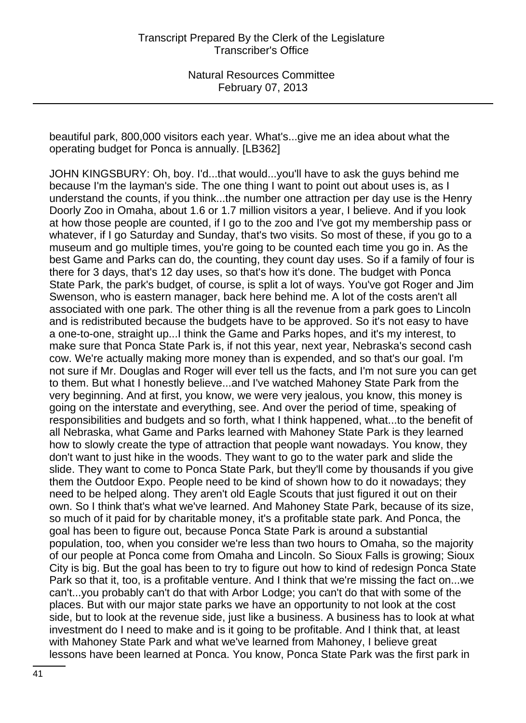beautiful park, 800,000 visitors each year. What's...give me an idea about what the operating budget for Ponca is annually. [LB362]

JOHN KINGSBURY: Oh, boy. I'd...that would...you'll have to ask the guys behind me because I'm the layman's side. The one thing I want to point out about uses is, as I understand the counts, if you think...the number one attraction per day use is the Henry Doorly Zoo in Omaha, about 1.6 or 1.7 million visitors a year, I believe. And if you look at how those people are counted, if I go to the zoo and I've got my membership pass or whatever, if I go Saturday and Sunday, that's two visits. So most of these, if you go to a museum and go multiple times, you're going to be counted each time you go in. As the best Game and Parks can do, the counting, they count day uses. So if a family of four is there for 3 days, that's 12 day uses, so that's how it's done. The budget with Ponca State Park, the park's budget, of course, is split a lot of ways. You've got Roger and Jim Swenson, who is eastern manager, back here behind me. A lot of the costs aren't all associated with one park. The other thing is all the revenue from a park goes to Lincoln and is redistributed because the budgets have to be approved. So it's not easy to have a one-to-one, straight up...I think the Game and Parks hopes, and it's my interest, to make sure that Ponca State Park is, if not this year, next year, Nebraska's second cash cow. We're actually making more money than is expended, and so that's our goal. I'm not sure if Mr. Douglas and Roger will ever tell us the facts, and I'm not sure you can get to them. But what I honestly believe...and I've watched Mahoney State Park from the very beginning. And at first, you know, we were very jealous, you know, this money is going on the interstate and everything, see. And over the period of time, speaking of responsibilities and budgets and so forth, what I think happened, what...to the benefit of all Nebraska, what Game and Parks learned with Mahoney State Park is they learned how to slowly create the type of attraction that people want nowadays. You know, they don't want to just hike in the woods. They want to go to the water park and slide the slide. They want to come to Ponca State Park, but they'll come by thousands if you give them the Outdoor Expo. People need to be kind of shown how to do it nowadays; they need to be helped along. They aren't old Eagle Scouts that just figured it out on their own. So I think that's what we've learned. And Mahoney State Park, because of its size, so much of it paid for by charitable money, it's a profitable state park. And Ponca, the goal has been to figure out, because Ponca State Park is around a substantial population, too, when you consider we're less than two hours to Omaha, so the majority of our people at Ponca come from Omaha and Lincoln. So Sioux Falls is growing; Sioux City is big. But the goal has been to try to figure out how to kind of redesign Ponca State Park so that it, too, is a profitable venture. And I think that we're missing the fact on...we can't...you probably can't do that with Arbor Lodge; you can't do that with some of the places. But with our major state parks we have an opportunity to not look at the cost side, but to look at the revenue side, just like a business. A business has to look at what investment do I need to make and is it going to be profitable. And I think that, at least with Mahoney State Park and what we've learned from Mahoney, I believe great lessons have been learned at Ponca. You know, Ponca State Park was the first park in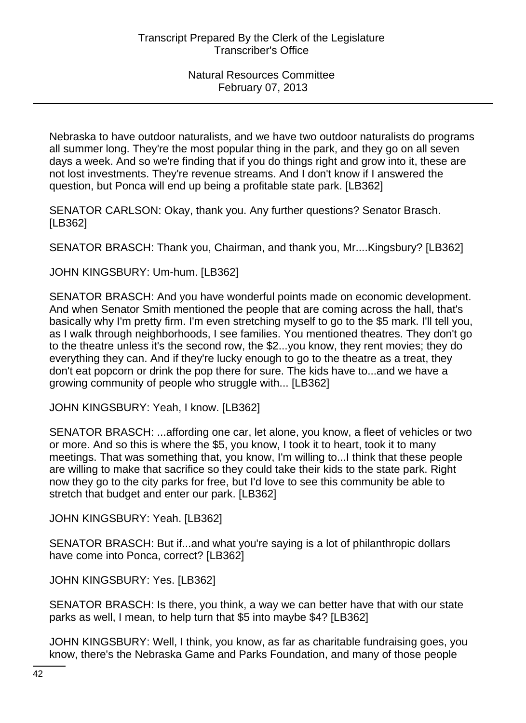Nebraska to have outdoor naturalists, and we have two outdoor naturalists do programs all summer long. They're the most popular thing in the park, and they go on all seven days a week. And so we're finding that if you do things right and grow into it, these are not lost investments. They're revenue streams. And I don't know if I answered the question, but Ponca will end up being a profitable state park. [LB362]

SENATOR CARLSON: Okay, thank you. Any further questions? Senator Brasch. [LB362]

SENATOR BRASCH: Thank you, Chairman, and thank you, Mr....Kingsbury? [LB362]

JOHN KINGSBURY: Um-hum. [LB362]

SENATOR BRASCH: And you have wonderful points made on economic development. And when Senator Smith mentioned the people that are coming across the hall, that's basically why I'm pretty firm. I'm even stretching myself to go to the \$5 mark. I'll tell you, as I walk through neighborhoods, I see families. You mentioned theatres. They don't go to the theatre unless it's the second row, the \$2...you know, they rent movies; they do everything they can. And if they're lucky enough to go to the theatre as a treat, they don't eat popcorn or drink the pop there for sure. The kids have to...and we have a growing community of people who struggle with... [LB362]

JOHN KINGSBURY: Yeah, I know. [LB362]

SENATOR BRASCH: ...affording one car, let alone, you know, a fleet of vehicles or two or more. And so this is where the \$5, you know, I took it to heart, took it to many meetings. That was something that, you know, I'm willing to...I think that these people are willing to make that sacrifice so they could take their kids to the state park. Right now they go to the city parks for free, but I'd love to see this community be able to stretch that budget and enter our park. [LB362]

JOHN KINGSBURY: Yeah. [LB362]

SENATOR BRASCH: But if...and what you're saying is a lot of philanthropic dollars have come into Ponca, correct? [LB362]

JOHN KINGSBURY: Yes. [LB362]

SENATOR BRASCH: Is there, you think, a way we can better have that with our state parks as well, I mean, to help turn that \$5 into maybe \$4? [LB362]

JOHN KINGSBURY: Well, I think, you know, as far as charitable fundraising goes, you know, there's the Nebraska Game and Parks Foundation, and many of those people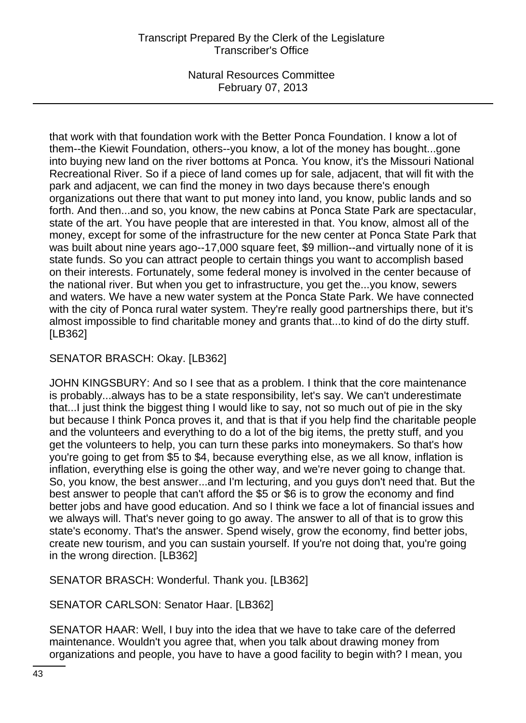that work with that foundation work with the Better Ponca Foundation. I know a lot of them--the Kiewit Foundation, others--you know, a lot of the money has bought...gone into buying new land on the river bottoms at Ponca. You know, it's the Missouri National Recreational River. So if a piece of land comes up for sale, adjacent, that will fit with the park and adjacent, we can find the money in two days because there's enough organizations out there that want to put money into land, you know, public lands and so forth. And then...and so, you know, the new cabins at Ponca State Park are spectacular, state of the art. You have people that are interested in that. You know, almost all of the money, except for some of the infrastructure for the new center at Ponca State Park that was built about nine years ago--17,000 square feet, \$9 million--and virtually none of it is state funds. So you can attract people to certain things you want to accomplish based on their interests. Fortunately, some federal money is involved in the center because of the national river. But when you get to infrastructure, you get the...you know, sewers and waters. We have a new water system at the Ponca State Park. We have connected with the city of Ponca rural water system. They're really good partnerships there, but it's almost impossible to find charitable money and grants that...to kind of do the dirty stuff. [LB362]

SENATOR BRASCH: Okay. [LB362]

JOHN KINGSBURY: And so I see that as a problem. I think that the core maintenance is probably...always has to be a state responsibility, let's say. We can't underestimate that...I just think the biggest thing I would like to say, not so much out of pie in the sky but because I think Ponca proves it, and that is that if you help find the charitable people and the volunteers and everything to do a lot of the big items, the pretty stuff, and you get the volunteers to help, you can turn these parks into moneymakers. So that's how you're going to get from \$5 to \$4, because everything else, as we all know, inflation is inflation, everything else is going the other way, and we're never going to change that. So, you know, the best answer...and I'm lecturing, and you guys don't need that. But the best answer to people that can't afford the \$5 or \$6 is to grow the economy and find better jobs and have good education. And so I think we face a lot of financial issues and we always will. That's never going to go away. The answer to all of that is to grow this state's economy. That's the answer. Spend wisely, grow the economy, find better jobs, create new tourism, and you can sustain yourself. If you're not doing that, you're going in the wrong direction. [LB362]

SENATOR BRASCH: Wonderful. Thank you. [LB362]

SENATOR CARLSON: Senator Haar. [LB362]

SENATOR HAAR: Well, I buy into the idea that we have to take care of the deferred maintenance. Wouldn't you agree that, when you talk about drawing money from organizations and people, you have to have a good facility to begin with? I mean, you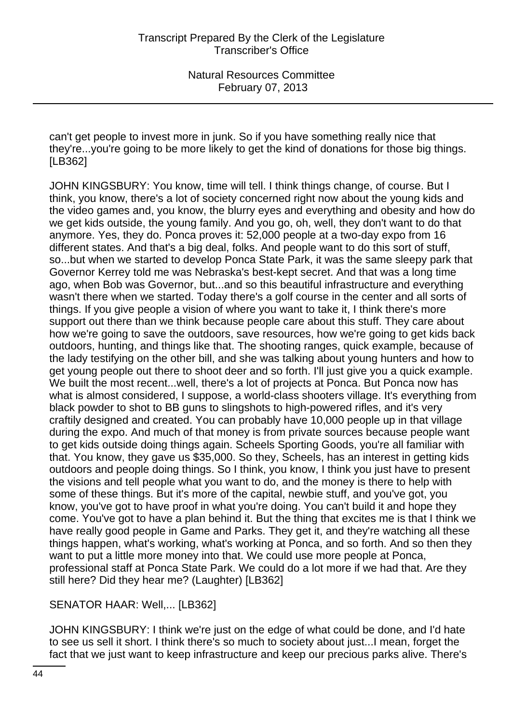can't get people to invest more in junk. So if you have something really nice that they're...you're going to be more likely to get the kind of donations for those big things. [LB362]

JOHN KINGSBURY: You know, time will tell. I think things change, of course. But I think, you know, there's a lot of society concerned right now about the young kids and the video games and, you know, the blurry eyes and everything and obesity and how do we get kids outside, the young family. And you go, oh, well, they don't want to do that anymore. Yes, they do. Ponca proves it: 52,000 people at a two-day expo from 16 different states. And that's a big deal, folks. And people want to do this sort of stuff, so...but when we started to develop Ponca State Park, it was the same sleepy park that Governor Kerrey told me was Nebraska's best-kept secret. And that was a long time ago, when Bob was Governor, but...and so this beautiful infrastructure and everything wasn't there when we started. Today there's a golf course in the center and all sorts of things. If you give people a vision of where you want to take it, I think there's more support out there than we think because people care about this stuff. They care about how we're going to save the outdoors, save resources, how we're going to get kids back outdoors, hunting, and things like that. The shooting ranges, quick example, because of the lady testifying on the other bill, and she was talking about young hunters and how to get young people out there to shoot deer and so forth. I'll just give you a quick example. We built the most recent...well, there's a lot of projects at Ponca. But Ponca now has what is almost considered, I suppose, a world-class shooters village. It's everything from black powder to shot to BB guns to slingshots to high-powered rifles, and it's very craftily designed and created. You can probably have 10,000 people up in that village during the expo. And much of that money is from private sources because people want to get kids outside doing things again. Scheels Sporting Goods, you're all familiar with that. You know, they gave us \$35,000. So they, Scheels, has an interest in getting kids outdoors and people doing things. So I think, you know, I think you just have to present the visions and tell people what you want to do, and the money is there to help with some of these things. But it's more of the capital, newbie stuff, and you've got, you know, you've got to have proof in what you're doing. You can't build it and hope they come. You've got to have a plan behind it. But the thing that excites me is that I think we have really good people in Game and Parks. They get it, and they're watching all these things happen, what's working, what's working at Ponca, and so forth. And so then they want to put a little more money into that. We could use more people at Ponca, professional staff at Ponca State Park. We could do a lot more if we had that. Are they still here? Did they hear me? (Laughter) [LB362]

SENATOR HAAR: Well,... [LB362]

JOHN KINGSBURY: I think we're just on the edge of what could be done, and I'd hate to see us sell it short. I think there's so much to society about just...I mean, forget the fact that we just want to keep infrastructure and keep our precious parks alive. There's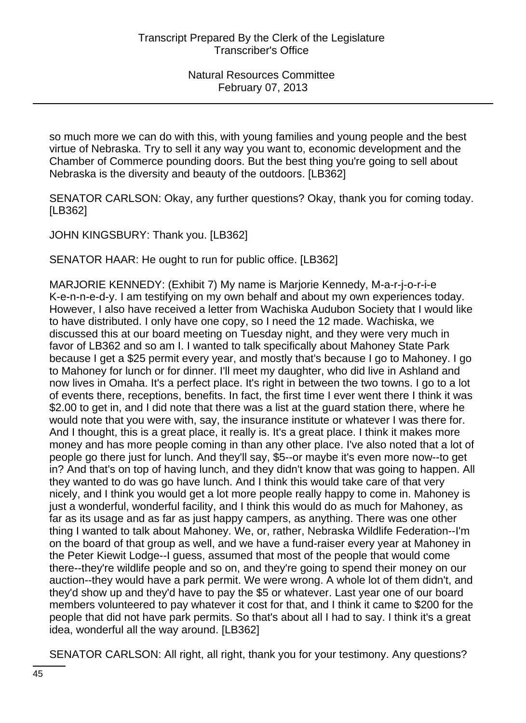so much more we can do with this, with young families and young people and the best virtue of Nebraska. Try to sell it any way you want to, economic development and the Chamber of Commerce pounding doors. But the best thing you're going to sell about Nebraska is the diversity and beauty of the outdoors. [LB362]

SENATOR CARLSON: Okay, any further questions? Okay, thank you for coming today. [LB362]

JOHN KINGSBURY: Thank you. [LB362]

SENATOR HAAR: He ought to run for public office. [LB362]

MARJORIE KENNEDY: (Exhibit 7) My name is Marjorie Kennedy, M-a-r-j-o-r-i-e K-e-n-n-e-d-y. I am testifying on my own behalf and about my own experiences today. However, I also have received a letter from Wachiska Audubon Society that I would like to have distributed. I only have one copy, so I need the 12 made. Wachiska, we discussed this at our board meeting on Tuesday night, and they were very much in favor of LB362 and so am I. I wanted to talk specifically about Mahoney State Park because I get a \$25 permit every year, and mostly that's because I go to Mahoney. I go to Mahoney for lunch or for dinner. I'll meet my daughter, who did live in Ashland and now lives in Omaha. It's a perfect place. It's right in between the two towns. I go to a lot of events there, receptions, benefits. In fact, the first time I ever went there I think it was \$2.00 to get in, and I did note that there was a list at the guard station there, where he would note that you were with, say, the insurance institute or whatever I was there for. And I thought, this is a great place, it really is. It's a great place. I think it makes more money and has more people coming in than any other place. I've also noted that a lot of people go there just for lunch. And they'll say, \$5--or maybe it's even more now--to get in? And that's on top of having lunch, and they didn't know that was going to happen. All they wanted to do was go have lunch. And I think this would take care of that very nicely, and I think you would get a lot more people really happy to come in. Mahoney is just a wonderful, wonderful facility, and I think this would do as much for Mahoney, as far as its usage and as far as just happy campers, as anything. There was one other thing I wanted to talk about Mahoney. We, or, rather, Nebraska Wildlife Federation--I'm on the board of that group as well, and we have a fund-raiser every year at Mahoney in the Peter Kiewit Lodge--I guess, assumed that most of the people that would come there--they're wildlife people and so on, and they're going to spend their money on our auction--they would have a park permit. We were wrong. A whole lot of them didn't, and they'd show up and they'd have to pay the \$5 or whatever. Last year one of our board members volunteered to pay whatever it cost for that, and I think it came to \$200 for the people that did not have park permits. So that's about all I had to say. I think it's a great idea, wonderful all the way around. [LB362]

SENATOR CARLSON: All right, all right, thank you for your testimony. Any questions?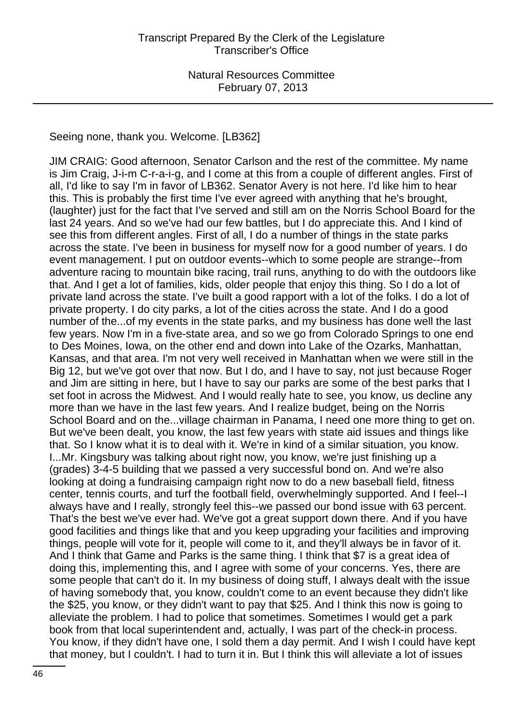Seeing none, thank you. Welcome. [LB362]

JIM CRAIG: Good afternoon, Senator Carlson and the rest of the committee. My name is Jim Craig, J-i-m C-r-a-i-g, and I come at this from a couple of different angles. First of all, I'd like to say I'm in favor of LB362. Senator Avery is not here. I'd like him to hear this. This is probably the first time I've ever agreed with anything that he's brought, (laughter) just for the fact that I've served and still am on the Norris School Board for the last 24 years. And so we've had our few battles, but I do appreciate this. And I kind of see this from different angles. First of all, I do a number of things in the state parks across the state. I've been in business for myself now for a good number of years. I do event management. I put on outdoor events--which to some people are strange--from adventure racing to mountain bike racing, trail runs, anything to do with the outdoors like that. And I get a lot of families, kids, older people that enjoy this thing. So I do a lot of private land across the state. I've built a good rapport with a lot of the folks. I do a lot of private property. I do city parks, a lot of the cities across the state. And I do a good number of the...of my events in the state parks, and my business has done well the last few years. Now I'm in a five-state area, and so we go from Colorado Springs to one end to Des Moines, Iowa, on the other end and down into Lake of the Ozarks, Manhattan, Kansas, and that area. I'm not very well received in Manhattan when we were still in the Big 12, but we've got over that now. But I do, and I have to say, not just because Roger and Jim are sitting in here, but I have to say our parks are some of the best parks that I set foot in across the Midwest. And I would really hate to see, you know, us decline any more than we have in the last few years. And I realize budget, being on the Norris School Board and on the...village chairman in Panama, I need one more thing to get on. But we've been dealt, you know, the last few years with state aid issues and things like that. So I know what it is to deal with it. We're in kind of a similar situation, you know. I...Mr. Kingsbury was talking about right now, you know, we're just finishing up a (grades) 3-4-5 building that we passed a very successful bond on. And we're also looking at doing a fundraising campaign right now to do a new baseball field, fitness center, tennis courts, and turf the football field, overwhelmingly supported. And I feel--I always have and I really, strongly feel this--we passed our bond issue with 63 percent. That's the best we've ever had. We've got a great support down there. And if you have good facilities and things like that and you keep upgrading your facilities and improving things, people will vote for it, people will come to it, and they'll always be in favor of it. And I think that Game and Parks is the same thing. I think that \$7 is a great idea of doing this, implementing this, and I agree with some of your concerns. Yes, there are some people that can't do it. In my business of doing stuff, I always dealt with the issue of having somebody that, you know, couldn't come to an event because they didn't like the \$25, you know, or they didn't want to pay that \$25. And I think this now is going to alleviate the problem. I had to police that sometimes. Sometimes I would get a park book from that local superintendent and, actually, I was part of the check-in process. You know, if they didn't have one, I sold them a day permit. And I wish I could have kept that money, but I couldn't. I had to turn it in. But I think this will alleviate a lot of issues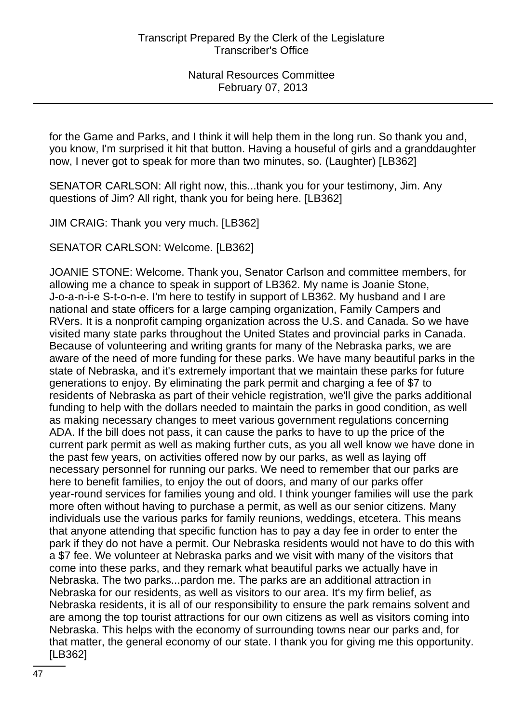for the Game and Parks, and I think it will help them in the long run. So thank you and, you know, I'm surprised it hit that button. Having a houseful of girls and a granddaughter now, I never got to speak for more than two minutes, so. (Laughter) [LB362]

SENATOR CARLSON: All right now, this...thank you for your testimony, Jim. Any questions of Jim? All right, thank you for being here. [LB362]

JIM CRAIG: Thank you very much. [LB362]

SENATOR CARLSON: Welcome. [LB362]

JOANIE STONE: Welcome. Thank you, Senator Carlson and committee members, for allowing me a chance to speak in support of LB362. My name is Joanie Stone, J-o-a-n-i-e S-t-o-n-e. I'm here to testify in support of LB362. My husband and I are national and state officers for a large camping organization, Family Campers and RVers. It is a nonprofit camping organization across the U.S. and Canada. So we have visited many state parks throughout the United States and provincial parks in Canada. Because of volunteering and writing grants for many of the Nebraska parks, we are aware of the need of more funding for these parks. We have many beautiful parks in the state of Nebraska, and it's extremely important that we maintain these parks for future generations to enjoy. By eliminating the park permit and charging a fee of \$7 to residents of Nebraska as part of their vehicle registration, we'll give the parks additional funding to help with the dollars needed to maintain the parks in good condition, as well as making necessary changes to meet various government regulations concerning ADA. If the bill does not pass, it can cause the parks to have to up the price of the current park permit as well as making further cuts, as you all well know we have done in the past few years, on activities offered now by our parks, as well as laying off necessary personnel for running our parks. We need to remember that our parks are here to benefit families, to enjoy the out of doors, and many of our parks offer year-round services for families young and old. I think younger families will use the park more often without having to purchase a permit, as well as our senior citizens. Many individuals use the various parks for family reunions, weddings, etcetera. This means that anyone attending that specific function has to pay a day fee in order to enter the park if they do not have a permit. Our Nebraska residents would not have to do this with a \$7 fee. We volunteer at Nebraska parks and we visit with many of the visitors that come into these parks, and they remark what beautiful parks we actually have in Nebraska. The two parks...pardon me. The parks are an additional attraction in Nebraska for our residents, as well as visitors to our area. It's my firm belief, as Nebraska residents, it is all of our responsibility to ensure the park remains solvent and are among the top tourist attractions for our own citizens as well as visitors coming into Nebraska. This helps with the economy of surrounding towns near our parks and, for that matter, the general economy of our state. I thank you for giving me this opportunity. [LB362]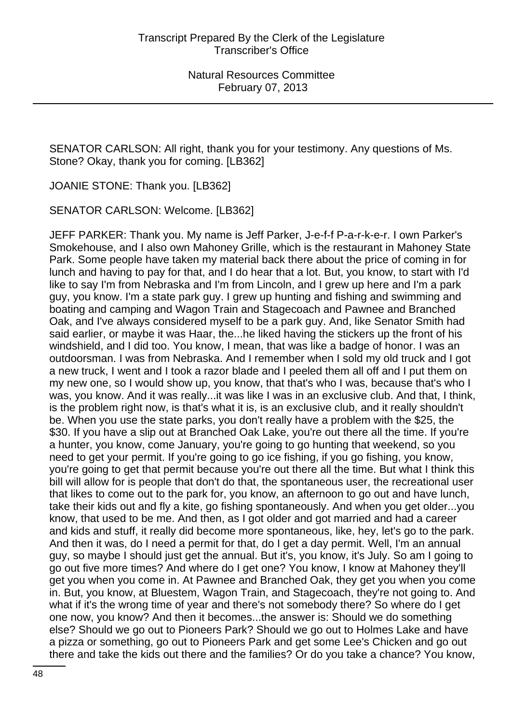SENATOR CARLSON: All right, thank you for your testimony. Any questions of Ms. Stone? Okay, thank you for coming. [LB362]

JOANIE STONE: Thank you. [LB362]

SENATOR CARLSON: Welcome. [LB362]

JEFF PARKER: Thank you. My name is Jeff Parker, J-e-f-f P-a-r-k-e-r. I own Parker's Smokehouse, and I also own Mahoney Grille, which is the restaurant in Mahoney State Park. Some people have taken my material back there about the price of coming in for lunch and having to pay for that, and I do hear that a lot. But, you know, to start with I'd like to say I'm from Nebraska and I'm from Lincoln, and I grew up here and I'm a park guy, you know. I'm a state park guy. I grew up hunting and fishing and swimming and boating and camping and Wagon Train and Stagecoach and Pawnee and Branched Oak, and I've always considered myself to be a park guy. And, like Senator Smith had said earlier, or maybe it was Haar, the...he liked having the stickers up the front of his windshield, and I did too. You know, I mean, that was like a badge of honor. I was an outdoorsman. I was from Nebraska. And I remember when I sold my old truck and I got a new truck, I went and I took a razor blade and I peeled them all off and I put them on my new one, so I would show up, you know, that that's who I was, because that's who I was, you know. And it was really...it was like I was in an exclusive club. And that, I think, is the problem right now, is that's what it is, is an exclusive club, and it really shouldn't be. When you use the state parks, you don't really have a problem with the \$25, the \$30. If you have a slip out at Branched Oak Lake, you're out there all the time. If you're a hunter, you know, come January, you're going to go hunting that weekend, so you need to get your permit. If you're going to go ice fishing, if you go fishing, you know, you're going to get that permit because you're out there all the time. But what I think this bill will allow for is people that don't do that, the spontaneous user, the recreational user that likes to come out to the park for, you know, an afternoon to go out and have lunch, take their kids out and fly a kite, go fishing spontaneously. And when you get older...you know, that used to be me. And then, as I got older and got married and had a career and kids and stuff, it really did become more spontaneous, like, hey, let's go to the park. And then it was, do I need a permit for that, do I get a day permit. Well, I'm an annual guy, so maybe I should just get the annual. But it's, you know, it's July. So am I going to go out five more times? And where do I get one? You know, I know at Mahoney they'll get you when you come in. At Pawnee and Branched Oak, they get you when you come in. But, you know, at Bluestem, Wagon Train, and Stagecoach, they're not going to. And what if it's the wrong time of year and there's not somebody there? So where do I get one now, you know? And then it becomes...the answer is: Should we do something else? Should we go out to Pioneers Park? Should we go out to Holmes Lake and have a pizza or something, go out to Pioneers Park and get some Lee's Chicken and go out there and take the kids out there and the families? Or do you take a chance? You know,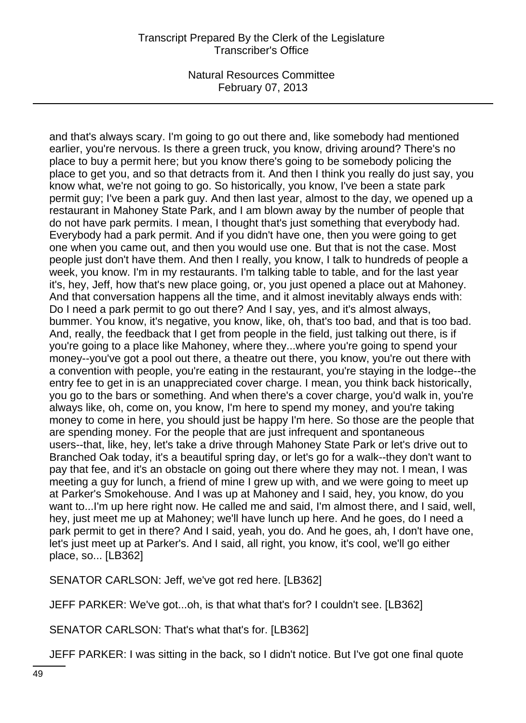and that's always scary. I'm going to go out there and, like somebody had mentioned earlier, you're nervous. Is there a green truck, you know, driving around? There's no place to buy a permit here; but you know there's going to be somebody policing the place to get you, and so that detracts from it. And then I think you really do just say, you know what, we're not going to go. So historically, you know, I've been a state park permit guy; I've been a park guy. And then last year, almost to the day, we opened up a restaurant in Mahoney State Park, and I am blown away by the number of people that do not have park permits. I mean, I thought that's just something that everybody had. Everybody had a park permit. And if you didn't have one, then you were going to get one when you came out, and then you would use one. But that is not the case. Most people just don't have them. And then I really, you know, I talk to hundreds of people a week, you know. I'm in my restaurants. I'm talking table to table, and for the last year it's, hey, Jeff, how that's new place going, or, you just opened a place out at Mahoney. And that conversation happens all the time, and it almost inevitably always ends with: Do I need a park permit to go out there? And I say, yes, and it's almost always, bummer. You know, it's negative, you know, like, oh, that's too bad, and that is too bad. And, really, the feedback that I get from people in the field, just talking out there, is if you're going to a place like Mahoney, where they...where you're going to spend your money--you've got a pool out there, a theatre out there, you know, you're out there with a convention with people, you're eating in the restaurant, you're staying in the lodge--the entry fee to get in is an unappreciated cover charge. I mean, you think back historically, you go to the bars or something. And when there's a cover charge, you'd walk in, you're always like, oh, come on, you know, I'm here to spend my money, and you're taking money to come in here, you should just be happy I'm here. So those are the people that are spending money. For the people that are just infrequent and spontaneous users--that, like, hey, let's take a drive through Mahoney State Park or let's drive out to Branched Oak today, it's a beautiful spring day, or let's go for a walk--they don't want to pay that fee, and it's an obstacle on going out there where they may not. I mean, I was meeting a guy for lunch, a friend of mine I grew up with, and we were going to meet up at Parker's Smokehouse. And I was up at Mahoney and I said, hey, you know, do you want to...I'm up here right now. He called me and said, I'm almost there, and I said, well, hey, just meet me up at Mahoney; we'll have lunch up here. And he goes, do I need a park permit to get in there? And I said, yeah, you do. And he goes, ah, I don't have one, let's just meet up at Parker's. And I said, all right, you know, it's cool, we'll go either place, so... [LB362]

SENATOR CARLSON: Jeff, we've got red here. [LB362]

JEFF PARKER: We've got...oh, is that what that's for? I couldn't see. [LB362]

SENATOR CARLSON: That's what that's for. [LB362]

JEFF PARKER: I was sitting in the back, so I didn't notice. But I've got one final quote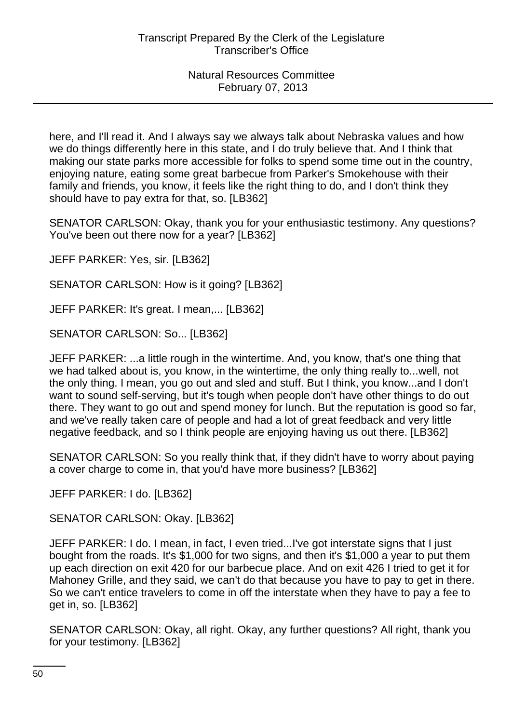here, and I'll read it. And I always say we always talk about Nebraska values and how we do things differently here in this state, and I do truly believe that. And I think that making our state parks more accessible for folks to spend some time out in the country, enjoying nature, eating some great barbecue from Parker's Smokehouse with their family and friends, you know, it feels like the right thing to do, and I don't think they should have to pay extra for that, so. [LB362]

SENATOR CARLSON: Okay, thank you for your enthusiastic testimony. Any questions? You've been out there now for a year? [LB362]

JEFF PARKER: Yes, sir. [LB362]

SENATOR CARLSON: How is it going? [LB362]

JEFF PARKER: It's great. I mean,... [LB362]

SENATOR CARLSON: So... [LB362]

JEFF PARKER: ...a little rough in the wintertime. And, you know, that's one thing that we had talked about is, you know, in the wintertime, the only thing really to...well, not the only thing. I mean, you go out and sled and stuff. But I think, you know...and I don't want to sound self-serving, but it's tough when people don't have other things to do out there. They want to go out and spend money for lunch. But the reputation is good so far, and we've really taken care of people and had a lot of great feedback and very little negative feedback, and so I think people are enjoying having us out there. [LB362]

SENATOR CARLSON: So you really think that, if they didn't have to worry about paying a cover charge to come in, that you'd have more business? [LB362]

JEFF PARKER: I do. [LB362]

SENATOR CARLSON: Okay. [LB362]

JEFF PARKER: I do. I mean, in fact, I even tried...I've got interstate signs that I just bought from the roads. It's \$1,000 for two signs, and then it's \$1,000 a year to put them up each direction on exit 420 for our barbecue place. And on exit 426 I tried to get it for Mahoney Grille, and they said, we can't do that because you have to pay to get in there. So we can't entice travelers to come in off the interstate when they have to pay a fee to get in, so. [LB362]

SENATOR CARLSON: Okay, all right. Okay, any further questions? All right, thank you for your testimony. [LB362]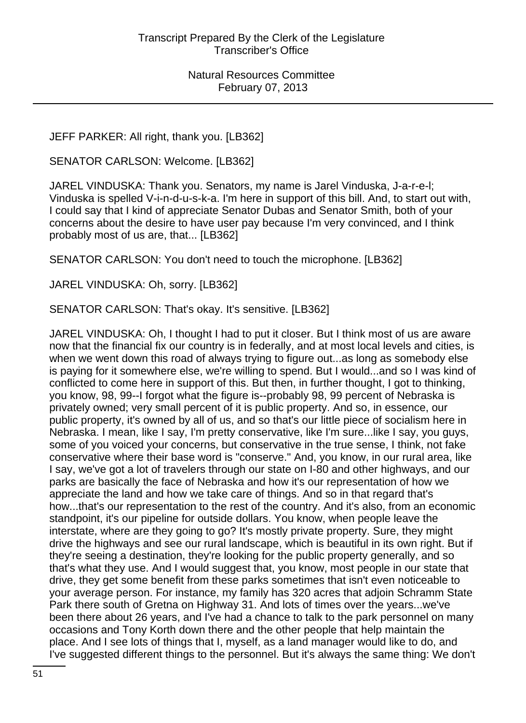JEFF PARKER: All right, thank you. [LB362]

SENATOR CARLSON: Welcome. [LB362]

JAREL VINDUSKA: Thank you. Senators, my name is Jarel Vinduska, J-a-r-e-l; Vinduska is spelled V-i-n-d-u-s-k-a. I'm here in support of this bill. And, to start out with, I could say that I kind of appreciate Senator Dubas and Senator Smith, both of your concerns about the desire to have user pay because I'm very convinced, and I think probably most of us are, that... [LB362]

SENATOR CARLSON: You don't need to touch the microphone. [LB362]

JAREL VINDUSKA: Oh, sorry. [LB362]

SENATOR CARLSON: That's okay. It's sensitive. [LB362]

JAREL VINDUSKA: Oh, I thought I had to put it closer. But I think most of us are aware now that the financial fix our country is in federally, and at most local levels and cities, is when we went down this road of always trying to figure out...as long as somebody else is paying for it somewhere else, we're willing to spend. But I would...and so I was kind of conflicted to come here in support of this. But then, in further thought, I got to thinking, you know, 98, 99--I forgot what the figure is--probably 98, 99 percent of Nebraska is privately owned; very small percent of it is public property. And so, in essence, our public property, it's owned by all of us, and so that's our little piece of socialism here in Nebraska. I mean, like I say, I'm pretty conservative, like I'm sure...like I say, you guys, some of you voiced your concerns, but conservative in the true sense, I think, not fake conservative where their base word is "conserve." And, you know, in our rural area, like I say, we've got a lot of travelers through our state on I-80 and other highways, and our parks are basically the face of Nebraska and how it's our representation of how we appreciate the land and how we take care of things. And so in that regard that's how...that's our representation to the rest of the country. And it's also, from an economic standpoint, it's our pipeline for outside dollars. You know, when people leave the interstate, where are they going to go? It's mostly private property. Sure, they might drive the highways and see our rural landscape, which is beautiful in its own right. But if they're seeing a destination, they're looking for the public property generally, and so that's what they use. And I would suggest that, you know, most people in our state that drive, they get some benefit from these parks sometimes that isn't even noticeable to your average person. For instance, my family has 320 acres that adjoin Schramm State Park there south of Gretna on Highway 31. And lots of times over the years...we've been there about 26 years, and I've had a chance to talk to the park personnel on many occasions and Tony Korth down there and the other people that help maintain the place. And I see lots of things that I, myself, as a land manager would like to do, and I've suggested different things to the personnel. But it's always the same thing: We don't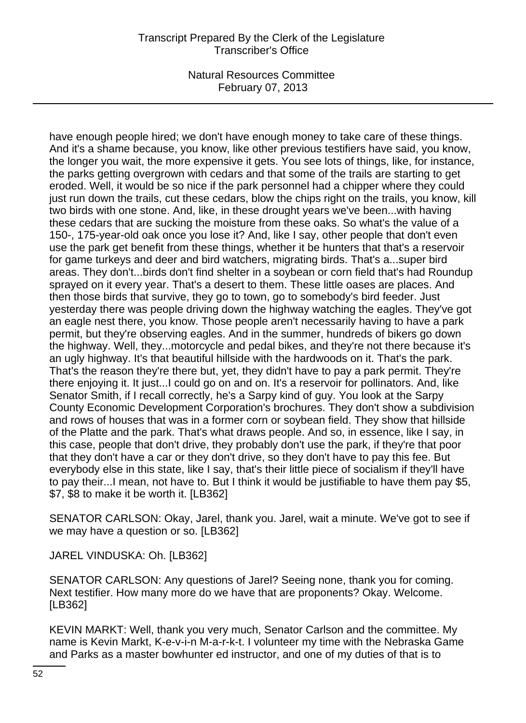have enough people hired; we don't have enough money to take care of these things. And it's a shame because, you know, like other previous testifiers have said, you know, the longer you wait, the more expensive it gets. You see lots of things, like, for instance, the parks getting overgrown with cedars and that some of the trails are starting to get eroded. Well, it would be so nice if the park personnel had a chipper where they could just run down the trails, cut these cedars, blow the chips right on the trails, you know, kill two birds with one stone. And, like, in these drought years we've been...with having these cedars that are sucking the moisture from these oaks. So what's the value of a 150-, 175-year-old oak once you lose it? And, like I say, other people that don't even use the park get benefit from these things, whether it be hunters that that's a reservoir for game turkeys and deer and bird watchers, migrating birds. That's a...super bird areas. They don't...birds don't find shelter in a soybean or corn field that's had Roundup sprayed on it every year. That's a desert to them. These little oases are places. And then those birds that survive, they go to town, go to somebody's bird feeder. Just yesterday there was people driving down the highway watching the eagles. They've got an eagle nest there, you know. Those people aren't necessarily having to have a park permit, but they're observing eagles. And in the summer, hundreds of bikers go down the highway. Well, they...motorcycle and pedal bikes, and they're not there because it's an ugly highway. It's that beautiful hillside with the hardwoods on it. That's the park. That's the reason they're there but, yet, they didn't have to pay a park permit. They're there enjoying it. It just...I could go on and on. It's a reservoir for pollinators. And, like Senator Smith, if I recall correctly, he's a Sarpy kind of guy. You look at the Sarpy County Economic Development Corporation's brochures. They don't show a subdivision and rows of houses that was in a former corn or soybean field. They show that hillside of the Platte and the park. That's what draws people. And so, in essence, like I say, in this case, people that don't drive, they probably don't use the park, if they're that poor that they don't have a car or they don't drive, so they don't have to pay this fee. But everybody else in this state, like I say, that's their little piece of socialism if they'll have to pay their...I mean, not have to. But I think it would be justifiable to have them pay \$5, \$7, \$8 to make it be worth it. [LB362]

SENATOR CARLSON: Okay, Jarel, thank you. Jarel, wait a minute. We've got to see if we may have a question or so. [LB362]

JAREL VINDUSKA: Oh. [LB362]

SENATOR CARLSON: Any questions of Jarel? Seeing none, thank you for coming. Next testifier. How many more do we have that are proponents? Okay. Welcome. [LB362]

KEVIN MARKT: Well, thank you very much, Senator Carlson and the committee. My name is Kevin Markt, K-e-v-i-n M-a-r-k-t. I volunteer my time with the Nebraska Game and Parks as a master bowhunter ed instructor, and one of my duties of that is to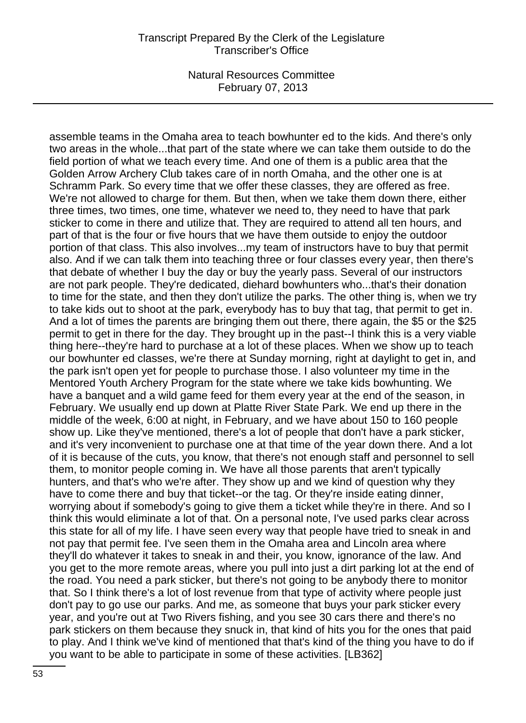assemble teams in the Omaha area to teach bowhunter ed to the kids. And there's only two areas in the whole...that part of the state where we can take them outside to do the field portion of what we teach every time. And one of them is a public area that the Golden Arrow Archery Club takes care of in north Omaha, and the other one is at Schramm Park. So every time that we offer these classes, they are offered as free. We're not allowed to charge for them. But then, when we take them down there, either three times, two times, one time, whatever we need to, they need to have that park sticker to come in there and utilize that. They are required to attend all ten hours, and part of that is the four or five hours that we have them outside to enjoy the outdoor portion of that class. This also involves...my team of instructors have to buy that permit also. And if we can talk them into teaching three or four classes every year, then there's that debate of whether I buy the day or buy the yearly pass. Several of our instructors are not park people. They're dedicated, diehard bowhunters who...that's their donation to time for the state, and then they don't utilize the parks. The other thing is, when we try to take kids out to shoot at the park, everybody has to buy that tag, that permit to get in. And a lot of times the parents are bringing them out there, there again, the \$5 or the \$25 permit to get in there for the day. They brought up in the past--I think this is a very viable thing here--they're hard to purchase at a lot of these places. When we show up to teach our bowhunter ed classes, we're there at Sunday morning, right at daylight to get in, and the park isn't open yet for people to purchase those. I also volunteer my time in the Mentored Youth Archery Program for the state where we take kids bowhunting. We have a banquet and a wild game feed for them every year at the end of the season, in February. We usually end up down at Platte River State Park. We end up there in the middle of the week, 6:00 at night, in February, and we have about 150 to 160 people show up. Like they've mentioned, there's a lot of people that don't have a park sticker, and it's very inconvenient to purchase one at that time of the year down there. And a lot of it is because of the cuts, you know, that there's not enough staff and personnel to sell them, to monitor people coming in. We have all those parents that aren't typically hunters, and that's who we're after. They show up and we kind of question why they have to come there and buy that ticket--or the tag. Or they're inside eating dinner, worrying about if somebody's going to give them a ticket while they're in there. And so I think this would eliminate a lot of that. On a personal note, I've used parks clear across this state for all of my life. I have seen every way that people have tried to sneak in and not pay that permit fee. I've seen them in the Omaha area and Lincoln area where they'll do whatever it takes to sneak in and their, you know, ignorance of the law. And you get to the more remote areas, where you pull into just a dirt parking lot at the end of the road. You need a park sticker, but there's not going to be anybody there to monitor that. So I think there's a lot of lost revenue from that type of activity where people just don't pay to go use our parks. And me, as someone that buys your park sticker every year, and you're out at Two Rivers fishing, and you see 30 cars there and there's no park stickers on them because they snuck in, that kind of hits you for the ones that paid to play. And I think we've kind of mentioned that that's kind of the thing you have to do if you want to be able to participate in some of these activities. [LB362]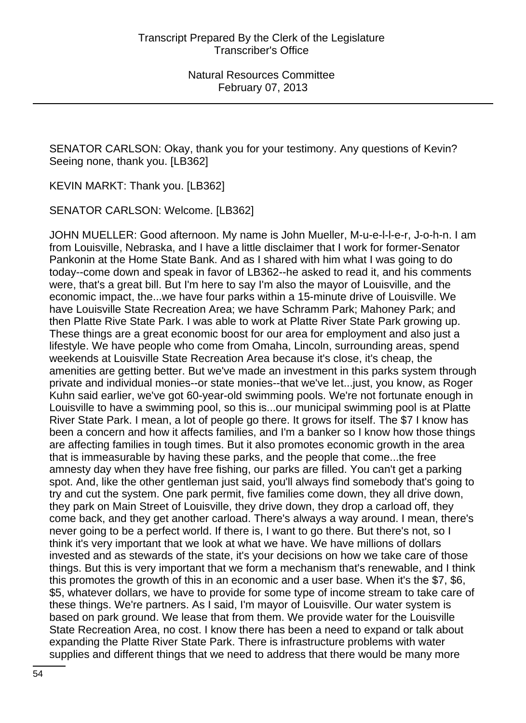SENATOR CARLSON: Okay, thank you for your testimony. Any questions of Kevin? Seeing none, thank you. [LB362]

KEVIN MARKT: Thank you. [LB362]

SENATOR CARLSON: Welcome. [LB362]

JOHN MUELLER: Good afternoon. My name is John Mueller, M-u-e-l-l-e-r, J-o-h-n. I am from Louisville, Nebraska, and I have a little disclaimer that I work for former-Senator Pankonin at the Home State Bank. And as I shared with him what I was going to do today--come down and speak in favor of LB362--he asked to read it, and his comments were, that's a great bill. But I'm here to say I'm also the mayor of Louisville, and the economic impact, the...we have four parks within a 15-minute drive of Louisville. We have Louisville State Recreation Area; we have Schramm Park; Mahoney Park; and then Platte Rive State Park. I was able to work at Platte River State Park growing up. These things are a great economic boost for our area for employment and also just a lifestyle. We have people who come from Omaha, Lincoln, surrounding areas, spend weekends at Louisville State Recreation Area because it's close, it's cheap, the amenities are getting better. But we've made an investment in this parks system through private and individual monies--or state monies--that we've let...just, you know, as Roger Kuhn said earlier, we've got 60-year-old swimming pools. We're not fortunate enough in Louisville to have a swimming pool, so this is...our municipal swimming pool is at Platte River State Park. I mean, a lot of people go there. It grows for itself. The \$7 I know has been a concern and how it affects families, and I'm a banker so I know how those things are affecting families in tough times. But it also promotes economic growth in the area that is immeasurable by having these parks, and the people that come...the free amnesty day when they have free fishing, our parks are filled. You can't get a parking spot. And, like the other gentleman just said, you'll always find somebody that's going to try and cut the system. One park permit, five families come down, they all drive down, they park on Main Street of Louisville, they drive down, they drop a carload off, they come back, and they get another carload. There's always a way around. I mean, there's never going to be a perfect world. If there is, I want to go there. But there's not, so I think it's very important that we look at what we have. We have millions of dollars invested and as stewards of the state, it's your decisions on how we take care of those things. But this is very important that we form a mechanism that's renewable, and I think this promotes the growth of this in an economic and a user base. When it's the \$7, \$6, \$5, whatever dollars, we have to provide for some type of income stream to take care of these things. We're partners. As I said, I'm mayor of Louisville. Our water system is based on park ground. We lease that from them. We provide water for the Louisville State Recreation Area, no cost. I know there has been a need to expand or talk about expanding the Platte River State Park. There is infrastructure problems with water supplies and different things that we need to address that there would be many more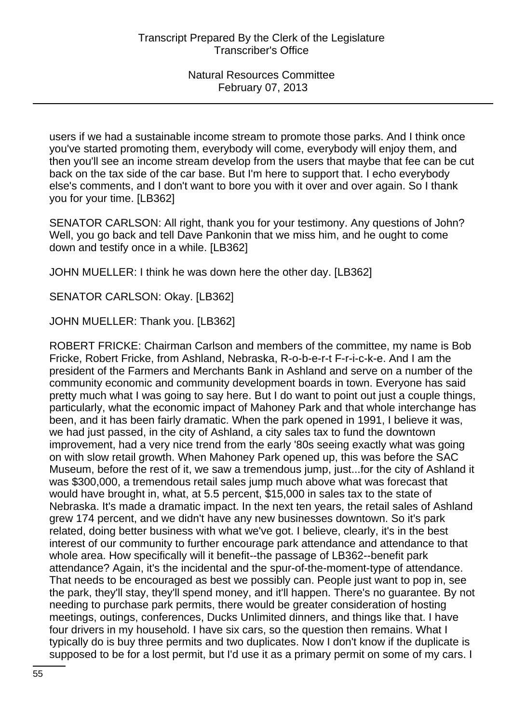users if we had a sustainable income stream to promote those parks. And I think once you've started promoting them, everybody will come, everybody will enjoy them, and then you'll see an income stream develop from the users that maybe that fee can be cut back on the tax side of the car base. But I'm here to support that. I echo everybody else's comments, and I don't want to bore you with it over and over again. So I thank you for your time. [LB362]

SENATOR CARLSON: All right, thank you for your testimony. Any questions of John? Well, you go back and tell Dave Pankonin that we miss him, and he ought to come down and testify once in a while. [LB362]

JOHN MUELLER: I think he was down here the other day. [LB362]

SENATOR CARLSON: Okay. [LB362]

JOHN MUELLER: Thank you. [LB362]

ROBERT FRICKE: Chairman Carlson and members of the committee, my name is Bob Fricke, Robert Fricke, from Ashland, Nebraska, R-o-b-e-r-t F-r-i-c-k-e. And I am the president of the Farmers and Merchants Bank in Ashland and serve on a number of the community economic and community development boards in town. Everyone has said pretty much what I was going to say here. But I do want to point out just a couple things, particularly, what the economic impact of Mahoney Park and that whole interchange has been, and it has been fairly dramatic. When the park opened in 1991, I believe it was, we had just passed, in the city of Ashland, a city sales tax to fund the downtown improvement, had a very nice trend from the early '80s seeing exactly what was going on with slow retail growth. When Mahoney Park opened up, this was before the SAC Museum, before the rest of it, we saw a tremendous jump, just...for the city of Ashland it was \$300,000, a tremendous retail sales jump much above what was forecast that would have brought in, what, at 5.5 percent, \$15,000 in sales tax to the state of Nebraska. It's made a dramatic impact. In the next ten years, the retail sales of Ashland grew 174 percent, and we didn't have any new businesses downtown. So it's park related, doing better business with what we've got. I believe, clearly, it's in the best interest of our community to further encourage park attendance and attendance to that whole area. How specifically will it benefit--the passage of LB362--benefit park attendance? Again, it's the incidental and the spur-of-the-moment-type of attendance. That needs to be encouraged as best we possibly can. People just want to pop in, see the park, they'll stay, they'll spend money, and it'll happen. There's no guarantee. By not needing to purchase park permits, there would be greater consideration of hosting meetings, outings, conferences, Ducks Unlimited dinners, and things like that. I have four drivers in my household. I have six cars, so the question then remains. What I typically do is buy three permits and two duplicates. Now I don't know if the duplicate is supposed to be for a lost permit, but I'd use it as a primary permit on some of my cars. I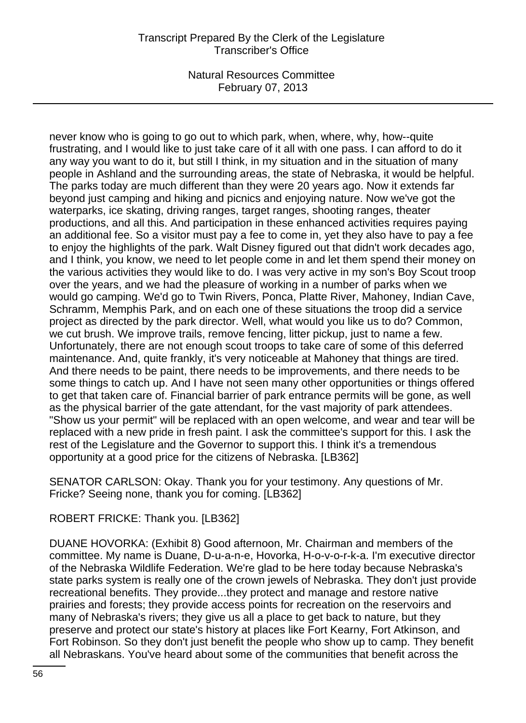# Transcript Prepared By the Clerk of the Legislature Transcriber's Office

Natural Resources Committee February 07, 2013

never know who is going to go out to which park, when, where, why, how--quite frustrating, and I would like to just take care of it all with one pass. I can afford to do it any way you want to do it, but still I think, in my situation and in the situation of many people in Ashland and the surrounding areas, the state of Nebraska, it would be helpful. The parks today are much different than they were 20 years ago. Now it extends far beyond just camping and hiking and picnics and enjoying nature. Now we've got the waterparks, ice skating, driving ranges, target ranges, shooting ranges, theater productions, and all this. And participation in these enhanced activities requires paying an additional fee. So a visitor must pay a fee to come in, yet they also have to pay a fee to enjoy the highlights of the park. Walt Disney figured out that didn't work decades ago, and I think, you know, we need to let people come in and let them spend their money on the various activities they would like to do. I was very active in my son's Boy Scout troop over the years, and we had the pleasure of working in a number of parks when we would go camping. We'd go to Twin Rivers, Ponca, Platte River, Mahoney, Indian Cave, Schramm, Memphis Park, and on each one of these situations the troop did a service project as directed by the park director. Well, what would you like us to do? Common, we cut brush. We improve trails, remove fencing, litter pickup, just to name a few. Unfortunately, there are not enough scout troops to take care of some of this deferred maintenance. And, quite frankly, it's very noticeable at Mahoney that things are tired. And there needs to be paint, there needs to be improvements, and there needs to be some things to catch up. And I have not seen many other opportunities or things offered to get that taken care of. Financial barrier of park entrance permits will be gone, as well as the physical barrier of the gate attendant, for the vast majority of park attendees. "Show us your permit" will be replaced with an open welcome, and wear and tear will be replaced with a new pride in fresh paint. I ask the committee's support for this. I ask the rest of the Legislature and the Governor to support this. I think it's a tremendous opportunity at a good price for the citizens of Nebraska. [LB362]

SENATOR CARLSON: Okay. Thank you for your testimony. Any questions of Mr. Fricke? Seeing none, thank you for coming. [LB362]

#### ROBERT FRICKE: Thank you. [LB362]

DUANE HOVORKA: (Exhibit 8) Good afternoon, Mr. Chairman and members of the committee. My name is Duane, D-u-a-n-e, Hovorka, H-o-v-o-r-k-a. I'm executive director of the Nebraska Wildlife Federation. We're glad to be here today because Nebraska's state parks system is really one of the crown jewels of Nebraska. They don't just provide recreational benefits. They provide...they protect and manage and restore native prairies and forests; they provide access points for recreation on the reservoirs and many of Nebraska's rivers; they give us all a place to get back to nature, but they preserve and protect our state's history at places like Fort Kearny, Fort Atkinson, and Fort Robinson. So they don't just benefit the people who show up to camp. They benefit all Nebraskans. You've heard about some of the communities that benefit across the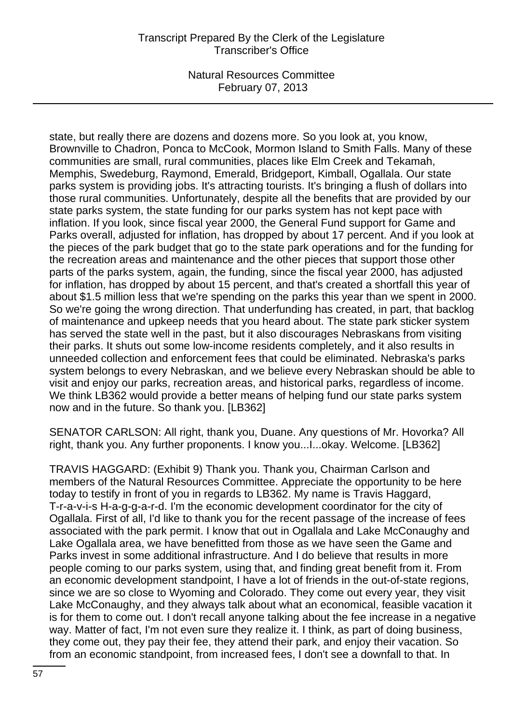# Transcript Prepared By the Clerk of the Legislature Transcriber's Office

Natural Resources Committee February 07, 2013

state, but really there are dozens and dozens more. So you look at, you know, Brownville to Chadron, Ponca to McCook, Mormon Island to Smith Falls. Many of these communities are small, rural communities, places like Elm Creek and Tekamah, Memphis, Swedeburg, Raymond, Emerald, Bridgeport, Kimball, Ogallala. Our state parks system is providing jobs. It's attracting tourists. It's bringing a flush of dollars into those rural communities. Unfortunately, despite all the benefits that are provided by our state parks system, the state funding for our parks system has not kept pace with inflation. If you look, since fiscal year 2000, the General Fund support for Game and Parks overall, adjusted for inflation, has dropped by about 17 percent. And if you look at the pieces of the park budget that go to the state park operations and for the funding for the recreation areas and maintenance and the other pieces that support those other parts of the parks system, again, the funding, since the fiscal year 2000, has adjusted for inflation, has dropped by about 15 percent, and that's created a shortfall this year of about \$1.5 million less that we're spending on the parks this year than we spent in 2000. So we're going the wrong direction. That underfunding has created, in part, that backlog of maintenance and upkeep needs that you heard about. The state park sticker system has served the state well in the past, but it also discourages Nebraskans from visiting their parks. It shuts out some low-income residents completely, and it also results in unneeded collection and enforcement fees that could be eliminated. Nebraska's parks system belongs to every Nebraskan, and we believe every Nebraskan should be able to visit and enjoy our parks, recreation areas, and historical parks, regardless of income. We think LB362 would provide a better means of helping fund our state parks system now and in the future. So thank you. [LB362]

SENATOR CARLSON: All right, thank you, Duane. Any questions of Mr. Hovorka? All right, thank you. Any further proponents. I know you...I...okay. Welcome. [LB362]

TRAVIS HAGGARD: (Exhibit 9) Thank you. Thank you, Chairman Carlson and members of the Natural Resources Committee. Appreciate the opportunity to be here today to testify in front of you in regards to LB362. My name is Travis Haggard, T-r-a-v-i-s H-a-g-g-a-r-d. I'm the economic development coordinator for the city of Ogallala. First of all, I'd like to thank you for the recent passage of the increase of fees associated with the park permit. I know that out in Ogallala and Lake McConaughy and Lake Ogallala area, we have benefitted from those as we have seen the Game and Parks invest in some additional infrastructure. And I do believe that results in more people coming to our parks system, using that, and finding great benefit from it. From an economic development standpoint, I have a lot of friends in the out-of-state regions, since we are so close to Wyoming and Colorado. They come out every year, they visit Lake McConaughy, and they always talk about what an economical, feasible vacation it is for them to come out. I don't recall anyone talking about the fee increase in a negative way. Matter of fact, I'm not even sure they realize it. I think, as part of doing business, they come out, they pay their fee, they attend their park, and enjoy their vacation. So from an economic standpoint, from increased fees, I don't see a downfall to that. In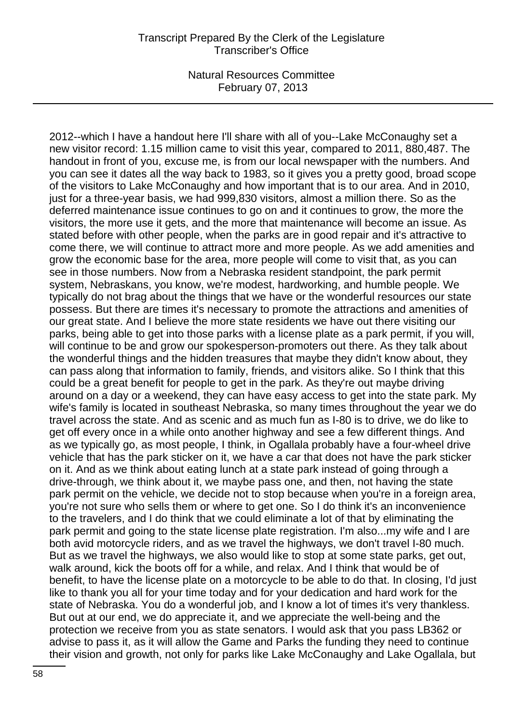2012--which I have a handout here I'll share with all of you--Lake McConaughy set a new visitor record: 1.15 million came to visit this year, compared to 2011, 880,487. The handout in front of you, excuse me, is from our local newspaper with the numbers. And you can see it dates all the way back to 1983, so it gives you a pretty good, broad scope of the visitors to Lake McConaughy and how important that is to our area. And in 2010, just for a three-year basis, we had 999,830 visitors, almost a million there. So as the deferred maintenance issue continues to go on and it continues to grow, the more the visitors, the more use it gets, and the more that maintenance will become an issue. As stated before with other people, when the parks are in good repair and it's attractive to come there, we will continue to attract more and more people. As we add amenities and grow the economic base for the area, more people will come to visit that, as you can see in those numbers. Now from a Nebraska resident standpoint, the park permit system, Nebraskans, you know, we're modest, hardworking, and humble people. We typically do not brag about the things that we have or the wonderful resources our state possess. But there are times it's necessary to promote the attractions and amenities of our great state. And I believe the more state residents we have out there visiting our parks, being able to get into those parks with a license plate as a park permit, if you will, will continue to be and grow our spokesperson-promoters out there. As they talk about the wonderful things and the hidden treasures that maybe they didn't know about, they can pass along that information to family, friends, and visitors alike. So I think that this could be a great benefit for people to get in the park. As they're out maybe driving around on a day or a weekend, they can have easy access to get into the state park. My wife's family is located in southeast Nebraska, so many times throughout the year we do travel across the state. And as scenic and as much fun as I-80 is to drive, we do like to get off every once in a while onto another highway and see a few different things. And as we typically go, as most people, I think, in Ogallala probably have a four-wheel drive vehicle that has the park sticker on it, we have a car that does not have the park sticker on it. And as we think about eating lunch at a state park instead of going through a drive-through, we think about it, we maybe pass one, and then, not having the state park permit on the vehicle, we decide not to stop because when you're in a foreign area, you're not sure who sells them or where to get one. So I do think it's an inconvenience to the travelers, and I do think that we could eliminate a lot of that by eliminating the park permit and going to the state license plate registration. I'm also...my wife and I are both avid motorcycle riders, and as we travel the highways, we don't travel I-80 much. But as we travel the highways, we also would like to stop at some state parks, get out, walk around, kick the boots off for a while, and relax. And I think that would be of benefit, to have the license plate on a motorcycle to be able to do that. In closing, I'd just like to thank you all for your time today and for your dedication and hard work for the state of Nebraska. You do a wonderful job, and I know a lot of times it's very thankless. But out at our end, we do appreciate it, and we appreciate the well-being and the protection we receive from you as state senators. I would ask that you pass LB362 or advise to pass it, as it will allow the Game and Parks the funding they need to continue their vision and growth, not only for parks like Lake McConaughy and Lake Ogallala, but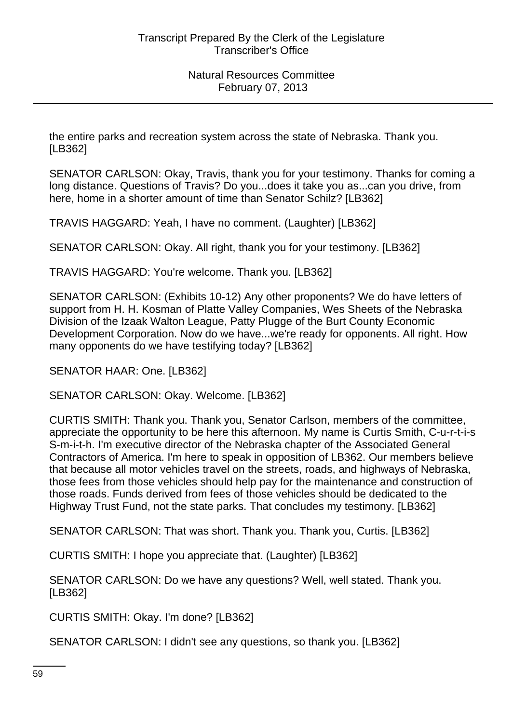the entire parks and recreation system across the state of Nebraska. Thank you. [LB362]

SENATOR CARLSON: Okay, Travis, thank you for your testimony. Thanks for coming a long distance. Questions of Travis? Do you...does it take you as...can you drive, from here, home in a shorter amount of time than Senator Schilz? [LB362]

TRAVIS HAGGARD: Yeah, I have no comment. (Laughter) [LB362]

SENATOR CARLSON: Okay. All right, thank you for your testimony. [LB362]

TRAVIS HAGGARD: You're welcome. Thank you. [LB362]

SENATOR CARLSON: (Exhibits 10-12) Any other proponents? We do have letters of support from H. H. Kosman of Platte Valley Companies, Wes Sheets of the Nebraska Division of the Izaak Walton League, Patty Plugge of the Burt County Economic Development Corporation. Now do we have...we're ready for opponents. All right. How many opponents do we have testifying today? [LB362]

SENATOR HAAR: One. [LB362]

SENATOR CARLSON: Okay. Welcome. [LB362]

CURTIS SMITH: Thank you. Thank you, Senator Carlson, members of the committee, appreciate the opportunity to be here this afternoon. My name is Curtis Smith, C-u-r-t-i-s S-m-i-t-h. I'm executive director of the Nebraska chapter of the Associated General Contractors of America. I'm here to speak in opposition of LB362. Our members believe that because all motor vehicles travel on the streets, roads, and highways of Nebraska, those fees from those vehicles should help pay for the maintenance and construction of those roads. Funds derived from fees of those vehicles should be dedicated to the Highway Trust Fund, not the state parks. That concludes my testimony. [LB362]

SENATOR CARLSON: That was short. Thank you. Thank you, Curtis. [LB362]

CURTIS SMITH: I hope you appreciate that. (Laughter) [LB362]

SENATOR CARLSON: Do we have any questions? Well, well stated. Thank you. [LB362]

CURTIS SMITH: Okay. I'm done? [LB362]

SENATOR CARLSON: I didn't see any questions, so thank you. [LB362]